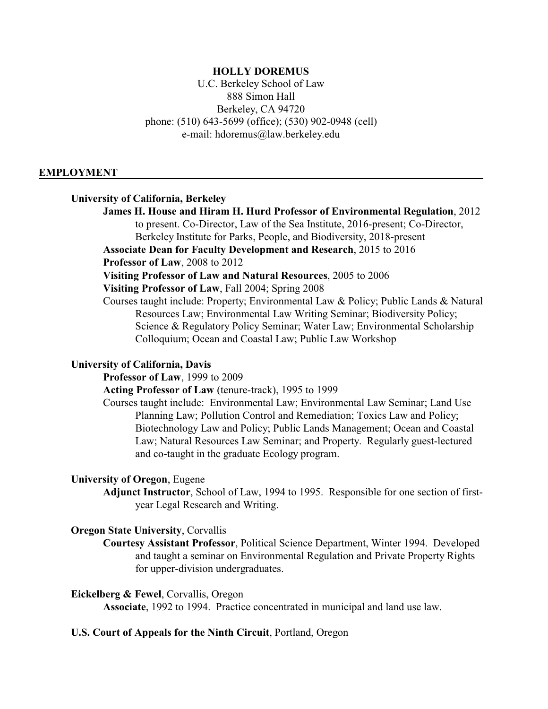## **HOLLY DOREMUS**

U.C. Berkeley School of Law 888 Simon Hall Berkeley, CA 94720 phone: (510) 643-5699 (office); (530) 902-0948 (cell) e-mail: hdoremus@law.berkeley.edu

#### **EMPLOYMENT**

### **University of California, Berkeley**

**James H. House and Hiram H. Hurd Professor of Environmental Regulation**, 2012 to present. Co-Director, Law of the Sea Institute, 2016-present; Co-Director,

Berkeley Institute for Parks, People, and Biodiversity, 2018-present **Associate Dean for Faculty Development and Research**, 2015 to 2016

**Professor of Law**, 2008 to 2012

**Visiting Professor of Law and Natural Resources**, 2005 to 2006

**Visiting Professor of Law**, Fall 2004; Spring 2008

Courses taught include: Property; Environmental Law & Policy; Public Lands & Natural Resources Law; Environmental Law Writing Seminar; Biodiversity Policy; Science & Regulatory Policy Seminar; Water Law; Environmental Scholarship Colloquium; Ocean and Coastal Law; Public Law Workshop

#### **University of California, Davis**

**Professor of Law**, 1999 to 2009

**Acting Professor of Law** (tenure-track), 1995 to 1999

Courses taught include: Environmental Law; Environmental Law Seminar; Land Use Planning Law; Pollution Control and Remediation; Toxics Law and Policy; Biotechnology Law and Policy; Public Lands Management; Ocean and Coastal Law; Natural Resources Law Seminar; and Property. Regularly guest-lectured and co-taught in the graduate Ecology program.

### **University of Oregon**, Eugene

**Adjunct Instructor**, School of Law, 1994 to 1995. Responsible for one section of firstyear Legal Research and Writing.

#### **Oregon State University**, Corvallis

**Courtesy Assistant Professor**, Political Science Department, Winter 1994. Developed and taught a seminar on Environmental Regulation and Private Property Rights for upper-division undergraduates.

## **Eickelberg & Fewel**, Corvallis, Oregon

**Associate**, 1992 to 1994. Practice concentrated in municipal and land use law.

#### **U.S. Court of Appeals for the Ninth Circuit**, Portland, Oregon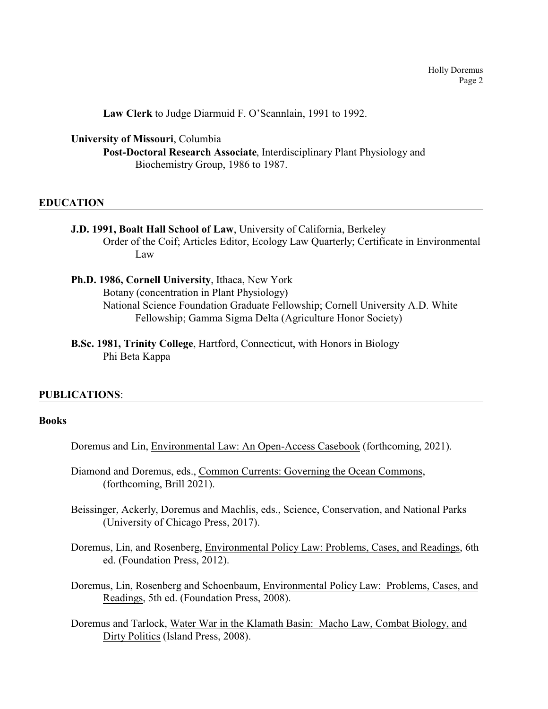**Law Clerk** to Judge Diarmuid F. O'Scannlain, 1991 to 1992.

**University of Missouri**, Columbia

**Post-Doctoral Research Associate**, Interdisciplinary Plant Physiology and Biochemistry Group, 1986 to 1987.

## **EDUCATION**

- **J.D. 1991, Boalt Hall School of Law**, University of California, Berkeley Order of the Coif; Articles Editor, Ecology Law Quarterly; Certificate in Environmental Law
- **Ph.D. 1986, Cornell University**, Ithaca, New York Botany (concentration in Plant Physiology) National Science Foundation Graduate Fellowship; Cornell University A.D. White Fellowship; Gamma Sigma Delta (Agriculture Honor Society)
- **B.Sc. 1981, Trinity College**, Hartford, Connecticut, with Honors in Biology Phi Beta Kappa

### **PUBLICATIONS**:

## **Books**

- Doremus and Lin, Environmental Law: An Open-Access Casebook (forthcoming, 2021).
- Diamond and Doremus, eds., Common Currents: Governing the Ocean Commons, (forthcoming, Brill 2021).
- Beissinger, Ackerly, Doremus and Machlis, eds., Science, Conservation, and National Parks (University of Chicago Press, 2017).
- Doremus, Lin, and Rosenberg, Environmental Policy Law: Problems, Cases, and Readings, 6th ed. (Foundation Press, 2012).
- Doremus, Lin, Rosenberg and Schoenbaum, Environmental Policy Law: Problems, Cases, and Readings, 5th ed. (Foundation Press, 2008).
- Doremus and Tarlock, Water War in the Klamath Basin: Macho Law, Combat Biology, and Dirty Politics (Island Press, 2008).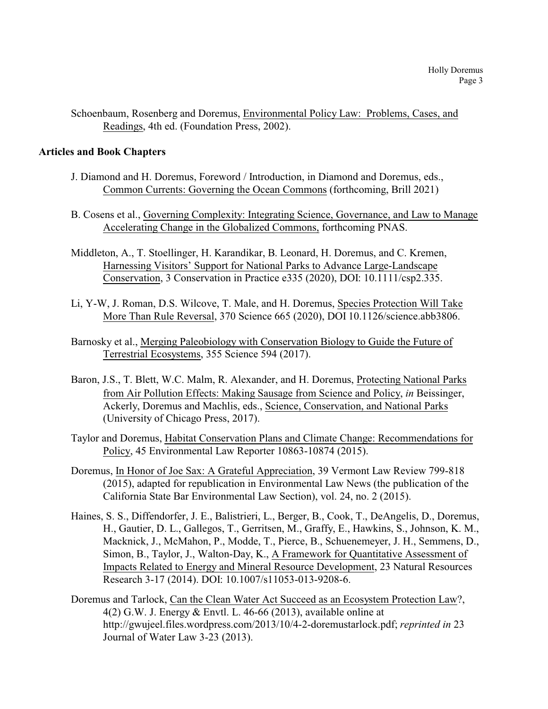Schoenbaum, Rosenberg and Doremus, Environmental Policy Law: Problems, Cases, and Readings, 4th ed. (Foundation Press, 2002).

## **Articles and Book Chapters**

- J. Diamond and H. Doremus, Foreword / Introduction, in Diamond and Doremus, eds., Common Currents: Governing the Ocean Commons (forthcoming, Brill 2021)
- B. Cosens et al., Governing Complexity: Integrating Science, Governance, and Law to Manage Accelerating Change in the Globalized Commons, forthcoming PNAS.
- Middleton, A., T. Stoellinger, H. Karandikar, B. Leonard, H. Doremus, and C. Kremen, Harnessing Visitors' Support for National Parks to Advance Large-Landscape Conservation, 3 Conservation in Practice e335 (2020), DOI: 10.1111/csp2.335.
- Li, Y-W, J. Roman, D.S. Wilcove, T. Male, and H. Doremus, Species Protection Will Take More Than Rule Reversal, 370 Science 665 (2020), DOI 10.1126/science.abb3806.
- Barnosky et al., Merging Paleobiology with Conservation Biology to Guide the Future of Terrestrial Ecosystems, 355 Science 594 (2017).
- Baron, J.S., T. Blett, W.C. Malm, R. Alexander, and H. Doremus, Protecting National Parks from Air Pollution Effects: Making Sausage from Science and Policy, *in* Beissinger, Ackerly, Doremus and Machlis, eds., Science, Conservation, and National Parks (University of Chicago Press, 2017).
- Taylor and Doremus, Habitat Conservation Plans and Climate Change: Recommendations for Policy, 45 Environmental Law Reporter 10863-10874 (2015).
- Doremus, In Honor of Joe Sax: A Grateful Appreciation, 39 Vermont Law Review 799-818 (2015), adapted for republication in Environmental Law News (the publication of the California State Bar Environmental Law Section), vol. 24, no. 2 (2015).
- Haines, S. S., Diffendorfer, J. E., Balistrieri, L., Berger, B., Cook, T., DeAngelis, D., Doremus, H., Gautier, D. L., Gallegos, T., Gerritsen, M., Graffy, E., Hawkins, S., Johnson, K. M., Macknick, J., McMahon, P., Modde, T., Pierce, B., Schuenemeyer, J. H., Semmens, D., Simon, B., Taylor, J., Walton-Day, K., A Framework for Quantitative Assessment of Impacts Related to Energy and Mineral Resource Development, 23 Natural Resources Research 3-17 (2014). DOI: 10.1007/s11053-013-9208-6.
- Doremus and Tarlock, Can the Clean Water Act Succeed as an Ecosystem Protection Law?, 4(2) G.W. J. Energy & Envtl. L. 46-66 (2013), available online at http://gwujeel.files.wordpress.com/2013/10/4-2-doremustarlock.pdf; *reprinted in* 23 Journal of Water Law 3-23 (2013).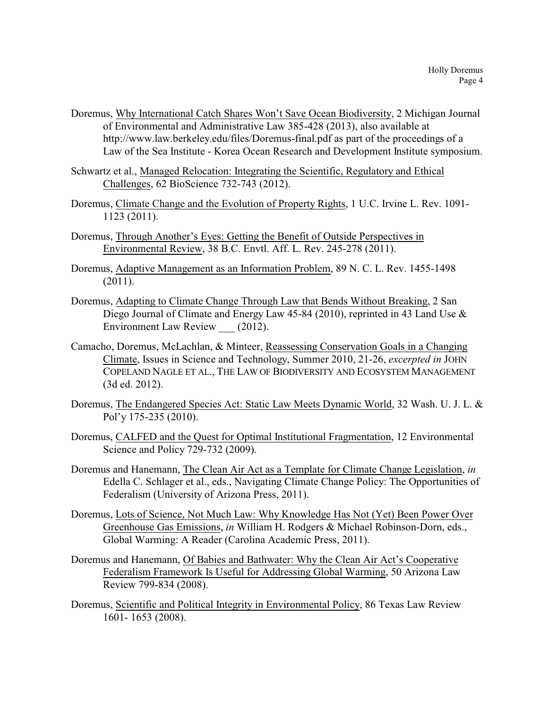- Doremus, Why International Catch Shares Won't Save Ocean Biodiversity, 2 Michigan Journal of Environmental and Administrative Law 385-428 (2013), also available at http://www.law.berkeley.edu/files/Doremus-final.pdf as part of the proceedings of a Law of the Sea Institute - Korea Ocean Research and Development Institute symposium.
- Schwartz et al., Managed Relocation: Integrating the Scientific, Regulatory and Ethical Challenges, 62 BioScience 732-743 (2012).
- Doremus, Climate Change and the Evolution of Property Rights, 1 U.C. Irvine L. Rev. 1091- 1123 (2011).
- Doremus, Through Another's Eyes: Getting the Benefit of Outside Perspectives in Environmental Review, 38 B.C. Envtl. Aff. L. Rev. 245-278 (2011).
- Doremus, Adaptive Management as an Information Problem, 89 N. C. L. Rev. 1455-1498 (2011).
- Doremus, Adapting to Climate Change Through Law that Bends Without Breaking, 2 San Diego Journal of Climate and Energy Law 45-84 (2010), reprinted in 43 Land Use & Environment Law Review (2012).
- Camacho, Doremus, McLachlan, & Minteer, Reassessing Conservation Goals in a Changing Climate, Issues in Science and Technology, Summer 2010, 21-26, *excerpted in* JOHN COPELAND NAGLE ET AL., THE LAW OF BIODIVERSITY AND ECOSYSTEM MANAGEMENT (3d ed. 2012).
- Doremus, The Endangered Species Act: Static Law Meets Dynamic World, 32 Wash. U. J. L. & Pol'y 175-235 (2010).
- Doremus, CALFED and the Quest for Optimal Institutional Fragmentation, 12 Environmental Science and Policy 729-732 (2009).
- Doremus and Hanemann, The Clean Air Act as a Template for Climate Change Legislation, *in* Edella C. Schlager et al., eds., Navigating Climate Change Policy: The Opportunities of Federalism (University of Arizona Press, 2011).
- Doremus, Lots of Science, Not Much Law: Why Knowledge Has Not (Yet) Been Power Over Greenhouse Gas Emissions, *in* William H. Rodgers & Michael Robinson-Dorn, eds., Global Warming: A Reader (Carolina Academic Press, 2011).
- Doremus and Hanemann, Of Babies and Bathwater: Why the Clean Air Act's Cooperative Federalism Framework Is Useful for Addressing Global Warming, 50 Arizona Law Review 799-834 (2008).
- Doremus, Scientific and Political Integrity in Environmental Policy, 86 Texas Law Review 1601- 1653 (2008).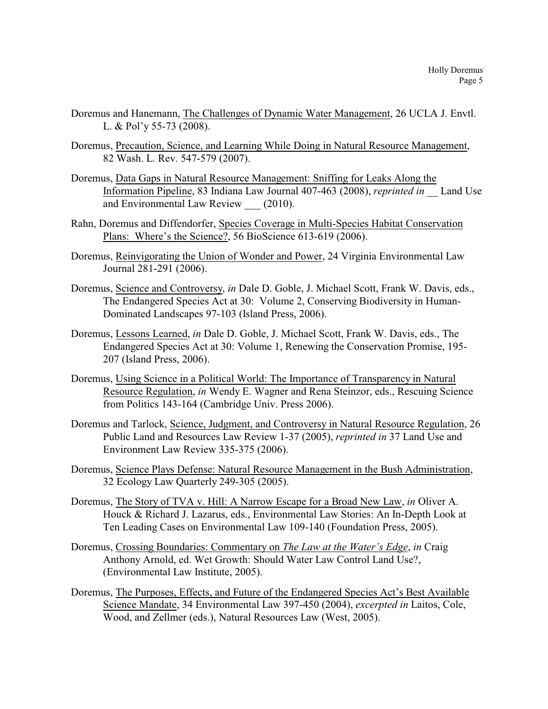- Doremus and Hanemann, The Challenges of Dynamic Water Management, 26 UCLA J. Envtl. L. & Pol'y 55-73 (2008).
- Doremus, Precaution, Science, and Learning While Doing in Natural Resource Management, 82 Wash. L. Rev. 547-579 (2007).
- Doremus, Data Gaps in Natural Resource Management: Sniffing for Leaks Along the Information Pipeline, 83 Indiana Law Journal 407-463 (2008), *reprinted in* \_\_ Land Use and Environmental Law Review (2010).
- Rahn, Doremus and Diffendorfer, Species Coverage in Multi-Species Habitat Conservation Plans: Where's the Science?, 56 BioScience 613-619 (2006).
- Doremus, Reinvigorating the Union of Wonder and Power, 24 Virginia Environmental Law Journal 281-291 (2006).
- Doremus, Science and Controversy, *in* Dale D. Goble, J. Michael Scott, Frank W. Davis, eds., The Endangered Species Act at 30: Volume 2, Conserving Biodiversity in Human-Dominated Landscapes 97-103 (Island Press, 2006).
- Doremus, Lessons Learned, *in* Dale D. Goble, J. Michael Scott, Frank W. Davis, eds., The Endangered Species Act at 30: Volume 1, Renewing the Conservation Promise, 195- 207 (Island Press, 2006).
- Doremus, Using Science in a Political World: The Importance of Transparency in Natural Resource Regulation, *in* Wendy E. Wagner and Rena Steinzor, eds., Rescuing Science from Politics 143-164 (Cambridge Univ. Press 2006).
- Doremus and Tarlock, Science, Judgment, and Controversy in Natural Resource Regulation, 26 Public Land and Resources Law Review 1-37 (2005), *reprinted in* 37 Land Use and Environment Law Review 335-375 (2006).
- Doremus, Science Plays Defense: Natural Resource Management in the Bush Administration, 32 Ecology Law Quarterly 249-305 (2005).
- Doremus, The Story of TVA v. Hill: A Narrow Escape for a Broad New Law, *in* Oliver A. Houck & Richard J. Lazarus, eds., Environmental Law Stories: An In-Depth Look at Ten Leading Cases on Environmental Law 109-140 (Foundation Press, 2005).
- Doremus, Crossing Boundaries: Commentary on *The Law at the Water's Edge*, *in* Craig Anthony Arnold, ed. Wet Growth: Should Water Law Control Land Use?, (Environmental Law Institute, 2005).
- Doremus, The Purposes, Effects, and Future of the Endangered Species Act's Best Available Science Mandate, 34 Environmental Law 397-450 (2004), *excerpted in* Laitos, Cole, Wood, and Zellmer (eds.), Natural Resources Law (West, 2005).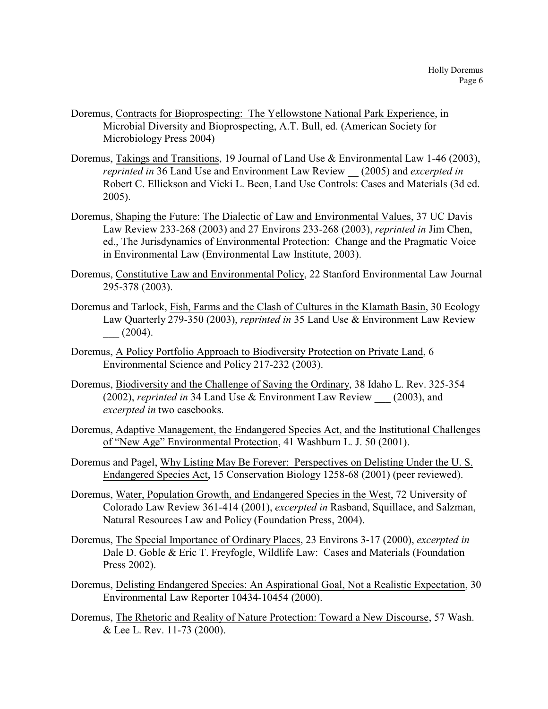- Doremus, Contracts for Bioprospecting: The Yellowstone National Park Experience, in Microbial Diversity and Bioprospecting, A.T. Bull, ed. (American Society for Microbiology Press 2004)
- Doremus, Takings and Transitions, 19 Journal of Land Use & Environmental Law 1-46 (2003), *reprinted in* 36 Land Use and Environment Law Review \_\_ (2005) and *excerpted in* Robert C. Ellickson and Vicki L. Been, Land Use Controls: Cases and Materials (3d ed. 2005).
- Doremus, Shaping the Future: The Dialectic of Law and Environmental Values, 37 UC Davis Law Review 233-268 (2003) and 27 Environs 233-268 (2003), *reprinted in* Jim Chen, ed., The Jurisdynamics of Environmental Protection: Change and the Pragmatic Voice in Environmental Law (Environmental Law Institute, 2003).
- Doremus, Constitutive Law and Environmental Policy, 22 Stanford Environmental Law Journal 295-378 (2003).
- Doremus and Tarlock, Fish, Farms and the Clash of Cultures in the Klamath Basin, 30 Ecology Law Quarterly 279-350 (2003), *reprinted in* 35 Land Use & Environment Law Review  $(2004).$
- Doremus, A Policy Portfolio Approach to Biodiversity Protection on Private Land, 6 Environmental Science and Policy 217-232 (2003).
- Doremus, Biodiversity and the Challenge of Saving the Ordinary, 38 Idaho L. Rev. 325-354 (2002), *reprinted in* 34 Land Use & Environment Law Review \_\_\_ (2003), and *excerpted in* two casebooks.
- Doremus, Adaptive Management, the Endangered Species Act, and the Institutional Challenges of "New Age" Environmental Protection, 41 Washburn L. J. 50 (2001).
- Doremus and Pagel, Why Listing May Be Forever: Perspectives on Delisting Under the U. S. Endangered Species Act, 15 Conservation Biology 1258-68 (2001) (peer reviewed).
- Doremus, Water, Population Growth, and Endangered Species in the West, 72 University of Colorado Law Review 361-414 (2001), *excerpted in* Rasband, Squillace, and Salzman, Natural Resources Law and Policy (Foundation Press, 2004).
- Doremus, The Special Importance of Ordinary Places, 23 Environs 3-17 (2000), *excerpted in* Dale D. Goble & Eric T. Freyfogle, Wildlife Law: Cases and Materials (Foundation Press 2002).
- Doremus, Delisting Endangered Species: An Aspirational Goal, Not a Realistic Expectation, 30 Environmental Law Reporter 10434-10454 (2000).
- Doremus, The Rhetoric and Reality of Nature Protection: Toward a New Discourse, 57 Wash. & Lee L. Rev. 11-73 (2000).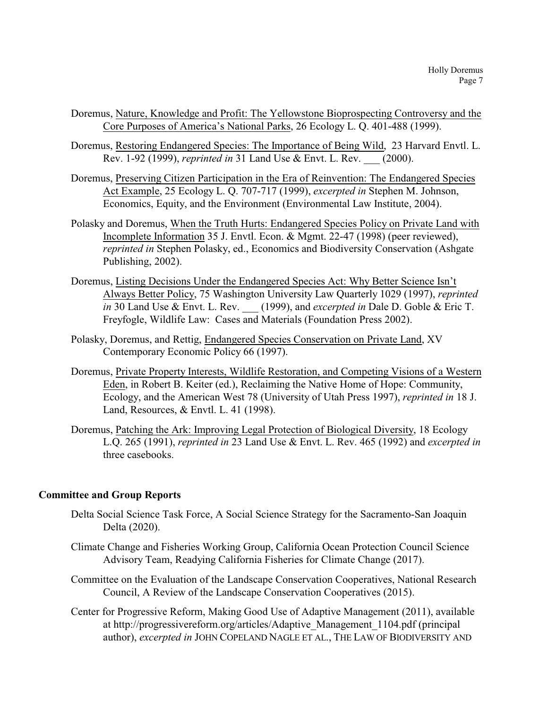- Doremus, Nature, Knowledge and Profit: The Yellowstone Bioprospecting Controversy and the Core Purposes of America's National Parks, 26 Ecology L. Q. 401-488 (1999).
- Doremus, Restoring Endangered Species: The Importance of Being Wild, 23 Harvard Envtl. L. Rev. 1-92 (1999), *reprinted in* 31 Land Use & Envt. L. Rev. \_\_\_ (2000).
- Doremus, Preserving Citizen Participation in the Era of Reinvention: The Endangered Species Act Example, 25 Ecology L. Q. 707-717 (1999), *excerpted in* Stephen M. Johnson, Economics, Equity, and the Environment (Environmental Law Institute, 2004).
- Polasky and Doremus, When the Truth Hurts: Endangered Species Policy on Private Land with Incomplete Information 35 J. Envtl. Econ. & Mgmt. 22-47 (1998) (peer reviewed), *reprinted in* Stephen Polasky, ed., Economics and Biodiversity Conservation (Ashgate Publishing, 2002).
- Doremus, Listing Decisions Under the Endangered Species Act: Why Better Science Isn't Always Better Policy, 75 Washington University Law Quarterly 1029 (1997), *reprinted in* 30 Land Use & Envt. L. Rev. \_\_\_ (1999), and *excerpted in* Dale D. Goble & Eric T. Freyfogle, Wildlife Law: Cases and Materials (Foundation Press 2002).
- Polasky, Doremus, and Rettig, Endangered Species Conservation on Private Land, XV Contemporary Economic Policy 66 (1997).
- Doremus, Private Property Interests, Wildlife Restoration, and Competing Visions of a Western Eden, in Robert B. Keiter (ed.), Reclaiming the Native Home of Hope: Community, Ecology, and the American West 78 (University of Utah Press 1997), *reprinted in* 18 J. Land, Resources, & Envtl. L. 41 (1998).
- Doremus, Patching the Ark: Improving Legal Protection of Biological Diversity, 18 Ecology L.Q. 265 (1991), *reprinted in* 23 Land Use & Envt. L. Rev. 465 (1992) and *excerpted in* three casebooks.

# **Committee and Group Reports**

- Delta Social Science Task Force, A Social Science Strategy for the Sacramento-San Joaquin Delta (2020).
- Climate Change and Fisheries Working Group, California Ocean Protection Council Science Advisory Team, Readying California Fisheries for Climate Change (2017).
- Committee on the Evaluation of the Landscape Conservation Cooperatives, National Research Council, A Review of the Landscape Conservation Cooperatives (2015).
- Center for Progressive Reform, Making Good Use of Adaptive Management (2011), available at http://progressivereform.org/articles/Adaptive\_Management\_1104.pdf (principal author), *excerpted in* JOHN COPELAND NAGLE ET AL., THE LAW OF BIODIVERSITY AND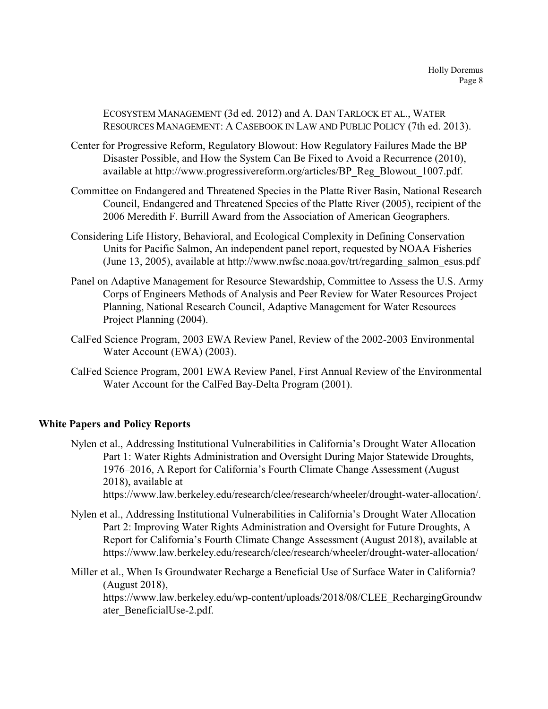ECOSYSTEM MANAGEMENT (3d ed. 2012) and A. DAN TARLOCK ET AL., WATER RESOURCES MANAGEMENT: A CASEBOOK IN LAW AND PUBLIC POLICY (7th ed. 2013).

- Center for Progressive Reform, Regulatory Blowout: How Regulatory Failures Made the BP Disaster Possible, and How the System Can Be Fixed to Avoid a Recurrence (2010), available at http://www.progressivereform.org/articles/BP\_Reg\_Blowout\_1007.pdf.
- Committee on Endangered and Threatened Species in the Platte River Basin, National Research Council, Endangered and Threatened Species of the Platte River (2005), recipient of the 2006 Meredith F. Burrill Award from the Association of American Geographers.
- Considering Life History, Behavioral, and Ecological Complexity in Defining Conservation Units for Pacific Salmon, An independent panel report, requested by NOAA Fisheries (June 13, 2005), available at http://www.nwfsc.noaa.gov/trt/regarding\_salmon\_esus.pdf
- Panel on Adaptive Management for Resource Stewardship, Committee to Assess the U.S. Army Corps of Engineers Methods of Analysis and Peer Review for Water Resources Project Planning, National Research Council, Adaptive Management for Water Resources Project Planning (2004).
- CalFed Science Program, 2003 EWA Review Panel, Review of the 2002-2003 Environmental Water Account (EWA) (2003).
- CalFed Science Program, 2001 EWA Review Panel, First Annual Review of the Environmental Water Account for the CalFed Bay-Delta Program (2001).

# **White Papers and Policy Reports**

- Nylen et al., Addressing Institutional Vulnerabilities in California's Drought Water Allocation Part 1: Water Rights Administration and Oversight During Major Statewide Droughts, 1976–2016, A Report for California's Fourth Climate Change Assessment (August 2018), available at
	- https://www.law.berkeley.edu/research/clee/research/wheeler/drought-water-allocation/.
- Nylen et al., Addressing Institutional Vulnerabilities in California's Drought Water Allocation Part 2: Improving Water Rights Administration and Oversight for Future Droughts, A Report for California's Fourth Climate Change Assessment (August 2018), available at https://www.law.berkeley.edu/research/clee/research/wheeler/drought-water-allocation/
- Miller et al., When Is Groundwater Recharge a Beneficial Use of Surface Water in California? (August 2018), https://www.law.berkeley.edu/wp-content/uploads/2018/08/CLEE\_RechargingGroundw ater\_BeneficialUse-2.pdf.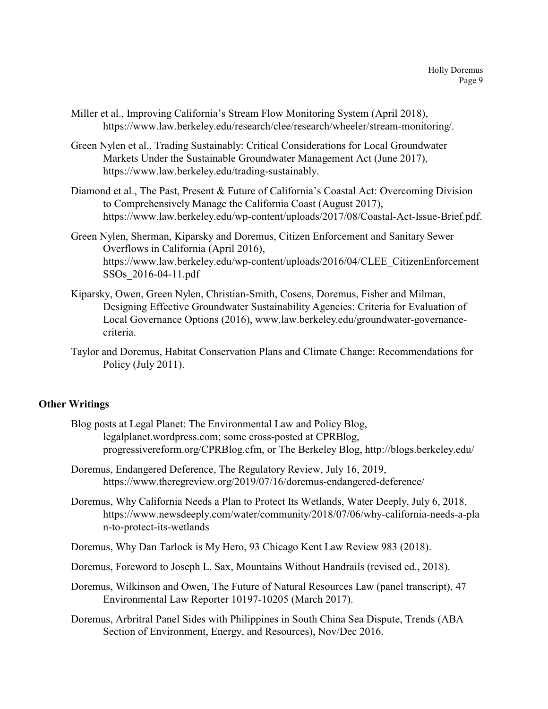- Miller et al., Improving California's Stream Flow Monitoring System (April 2018), https://www.law.berkeley.edu/research/clee/research/wheeler/stream-monitoring/.
- Green Nylen et al., Trading Sustainably: Critical Considerations for Local Groundwater Markets Under the Sustainable Groundwater Management Act (June 2017), https://www.law.berkeley.edu/trading-sustainably.
- Diamond et al., The Past, Present & Future of California's Coastal Act: Overcoming Division to Comprehensively Manage the California Coast (August 2017), https://www.law.berkeley.edu/wp-content/uploads/2017/08/Coastal-Act-Issue-Brief.pdf.
- Green Nylen, Sherman, Kiparsky and Doremus, Citizen Enforcement and Sanitary Sewer Overflows in California (April 2016), https://www.law.berkeley.edu/wp-content/uploads/2016/04/CLEE\_CitizenEnforcement SSOs\_2016-04-11.pdf
- Kiparsky, Owen, Green Nylen, Christian-Smith, Cosens, Doremus, Fisher and Milman, Designing Effective Groundwater Sustainability Agencies: Criteria for Evaluation of Local Governance Options (2016), www.law.berkeley.edu/groundwater-governancecriteria.
- Taylor and Doremus, Habitat Conservation Plans and Climate Change: Recommendations for Policy (July 2011).

# **Other Writings**

- Blog posts at Legal Planet: The Environmental Law and Policy Blog, legalplanet.wordpress.com; some cross-posted at CPRBlog, progressivereform.org/CPRBlog.cfm, or The Berkeley Blog, http://blogs.berkeley.edu/
- Doremus, Endangered Deference, The Regulatory Review, July 16, 2019, https://www.theregreview.org/2019/07/16/doremus-endangered-deference/
- Doremus, Why California Needs a Plan to Protect Its Wetlands, Water Deeply, July 6, 2018, https://www.newsdeeply.com/water/community/2018/07/06/why-california-needs-a-pla n-to-protect-its-wetlands
- Doremus, Why Dan Tarlock is My Hero, 93 Chicago Kent Law Review 983 (2018).
- Doremus, Foreword to Joseph L. Sax, Mountains Without Handrails (revised ed., 2018).
- Doremus, Wilkinson and Owen, The Future of Natural Resources Law (panel transcript), 47 Environmental Law Reporter 10197-10205 (March 2017).
- Doremus, Arbritral Panel Sides with Philippines in South China Sea Dispute, Trends (ABA Section of Environment, Energy, and Resources), Nov/Dec 2016.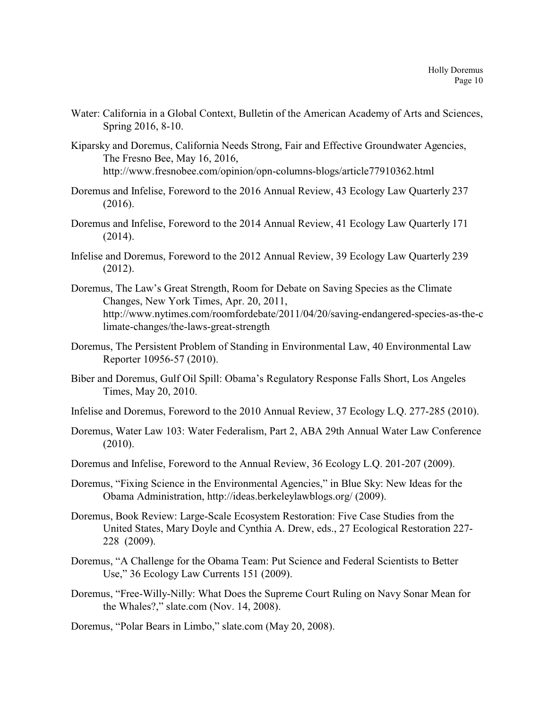- Water: California in a Global Context, Bulletin of the American Academy of Arts and Sciences, Spring 2016, 8-10.
- Kiparsky and Doremus, California Needs Strong, Fair and Effective Groundwater Agencies, The Fresno Bee, May 16, 2016, http://www.fresnobee.com/opinion/opn-columns-blogs/article77910362.html
- Doremus and Infelise, Foreword to the 2016 Annual Review, 43 Ecology Law Quarterly 237 (2016).
- Doremus and Infelise, Foreword to the 2014 Annual Review, 41 Ecology Law Quarterly 171 (2014).
- Infelise and Doremus, Foreword to the 2012 Annual Review, 39 Ecology Law Quarterly 239 (2012).
- Doremus, The Law's Great Strength, Room for Debate on Saving Species as the Climate Changes, New York Times, Apr. 20, 2011, http://www.nytimes.com/roomfordebate/2011/04/20/saving-endangered-species-as-the-c limate-changes/the-laws-great-strength
- Doremus, The Persistent Problem of Standing in Environmental Law, 40 Environmental Law Reporter 10956-57 (2010).
- Biber and Doremus, Gulf Oil Spill: Obama's Regulatory Response Falls Short, Los Angeles Times, May 20, 2010.
- Infelise and Doremus, Foreword to the 2010 Annual Review, 37 Ecology L.Q. 277-285 (2010).
- Doremus, Water Law 103: Water Federalism, Part 2, ABA 29th Annual Water Law Conference (2010).
- Doremus and Infelise, Foreword to the Annual Review, 36 Ecology L.Q. 201-207 (2009).
- Doremus, "Fixing Science in the Environmental Agencies," in Blue Sky: New Ideas for the Obama Administration, http://ideas.berkeleylawblogs.org/ (2009).
- Doremus, Book Review: Large-Scale Ecosystem Restoration: Five Case Studies from the United States, Mary Doyle and Cynthia A. Drew, eds., 27 Ecological Restoration 227- 228 (2009).
- Doremus, "A Challenge for the Obama Team: Put Science and Federal Scientists to Better Use," 36 Ecology Law Currents 151 (2009).
- Doremus, "Free-Willy-Nilly: What Does the Supreme Court Ruling on Navy Sonar Mean for the Whales?," slate.com (Nov. 14, 2008).

Doremus, "Polar Bears in Limbo," slate.com (May 20, 2008).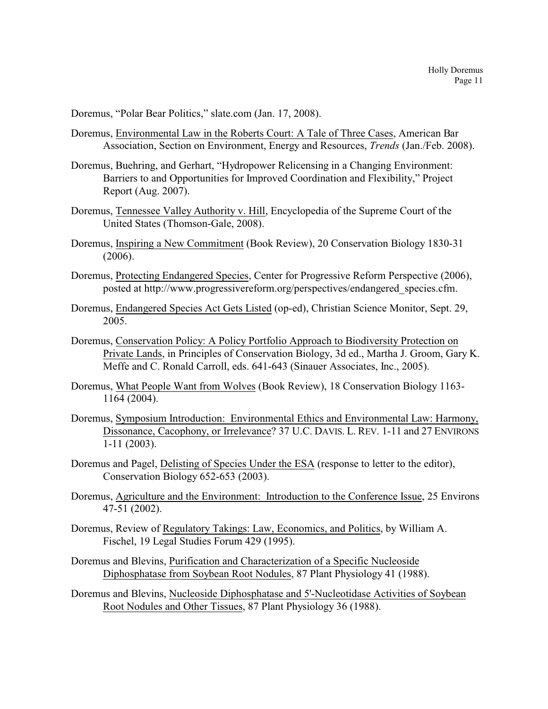Doremus, "Polar Bear Politics," slate.com (Jan. 17, 2008).

- Doremus, Environmental Law in the Roberts Court: A Tale of Three Cases, American Bar Association, Section on Environment, Energy and Resources, *Trends* (Jan./Feb. 2008).
- Doremus, Buehring, and Gerhart, "Hydropower Relicensing in a Changing Environment: Barriers to and Opportunities for Improved Coordination and Flexibility," Project Report (Aug. 2007).
- Doremus, Tennessee Valley Authority v. Hill, Encyclopedia of the Supreme Court of the United States (Thomson-Gale, 2008).
- Doremus, Inspiring a New Commitment (Book Review), 20 Conservation Biology 1830-31 (2006).
- Doremus, Protecting Endangered Species, Center for Progressive Reform Perspective (2006), posted at http://www.progressivereform.org/perspectives/endangered\_species.cfm.
- Doremus, Endangered Species Act Gets Listed (op-ed), Christian Science Monitor, Sept. 29, 2005.
- Doremus, Conservation Policy: A Policy Portfolio Approach to Biodiversity Protection on Private Lands, in Principles of Conservation Biology, 3d ed., Martha J. Groom, Gary K. Meffe and C. Ronald Carroll, eds. 641-643 (Sinauer Associates, Inc., 2005).
- Doremus, What People Want from Wolves (Book Review), 18 Conservation Biology 1163- 1164 (2004).
- Doremus, Symposium Introduction: Environmental Ethics and Environmental Law: Harmony, Dissonance, Cacophony, or Irrelevance? 37 U.C. DAVIS. L. REV. 1-11 and 27 ENVIRONS 1-11 (2003).
- Doremus and Pagel, Delisting of Species Under the ESA (response to letter to the editor), Conservation Biology 652-653 (2003).
- Doremus, Agriculture and the Environment: Introduction to the Conference Issue, 25 Environs 47-51 (2002).
- Doremus, Review of Regulatory Takings: Law, Economics, and Politics, by William A. Fischel, 19 Legal Studies Forum 429 (1995).
- Doremus and Blevins, Purification and Characterization of a Specific Nucleoside Diphosphatase from Soybean Root Nodules, 87 Plant Physiology 41 (1988).
- Doremus and Blevins, Nucleoside Diphosphatase and 5'-Nucleotidase Activities of Soybean Root Nodules and Other Tissues, 87 Plant Physiology 36 (1988).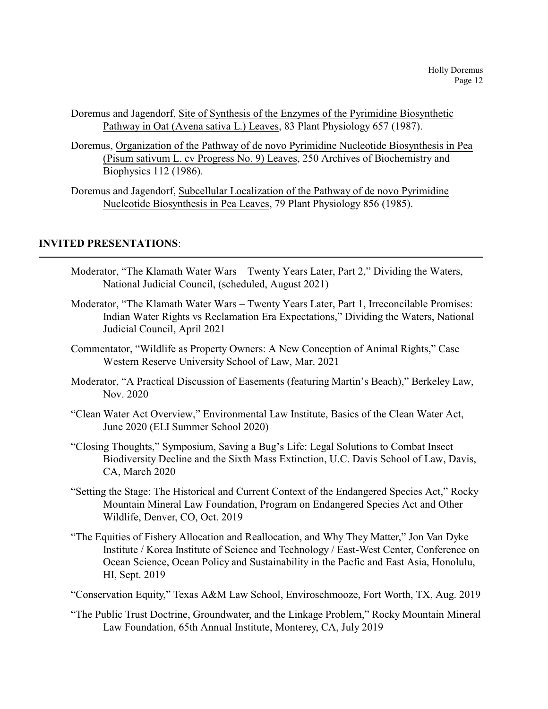- Doremus and Jagendorf, Site of Synthesis of the Enzymes of the Pyrimidine Biosynthetic Pathway in Oat (Avena sativa L.) Leaves, 83 Plant Physiology 657 (1987).
- Doremus, Organization of the Pathway of de novo Pyrimidine Nucleotide Biosynthesis in Pea (Pisum sativum L. cv Progress No. 9) Leaves, 250 Archives of Biochemistry and Biophysics 112 (1986).

Doremus and Jagendorf, Subcellular Localization of the Pathway of de novo Pyrimidine Nucleotide Biosynthesis in Pea Leaves, 79 Plant Physiology 856 (1985).

## **INVITED PRESENTATIONS**:

- Moderator, "The Klamath Water Wars Twenty Years Later, Part 2," Dividing the Waters, National Judicial Council, (scheduled, August 2021)
- Moderator, "The Klamath Water Wars Twenty Years Later, Part 1, Irreconcilable Promises: Indian Water Rights vs Reclamation Era Expectations," Dividing the Waters, National Judicial Council, April 2021
- Commentator, "Wildlife as Property Owners: A New Conception of Animal Rights," Case Western Reserve University School of Law, Mar. 2021
- Moderator, "A Practical Discussion of Easements (featuring Martin's Beach)," Berkeley Law, Nov. 2020
- "Clean Water Act Overview," Environmental Law Institute, Basics of the Clean Water Act, June 2020 (ELI Summer School 2020)
- "Closing Thoughts," Symposium, Saving a Bug's Life: Legal Solutions to Combat Insect Biodiversity Decline and the Sixth Mass Extinction, U.C. Davis School of Law, Davis, CA, March 2020
- "Setting the Stage: The Historical and Current Context of the Endangered Species Act," Rocky Mountain Mineral Law Foundation, Program on Endangered Species Act and Other Wildlife, Denver, CO, Oct. 2019
- "The Equities of Fishery Allocation and Reallocation, and Why They Matter," Jon Van Dyke Institute / Korea Institute of Science and Technology / East-West Center, Conference on Ocean Science, Ocean Policy and Sustainability in the Pacfic and East Asia, Honolulu, HI, Sept. 2019
- "Conservation Equity," Texas A&M Law School, Enviroschmooze, Fort Worth, TX, Aug. 2019
- "The Public Trust Doctrine, Groundwater, and the Linkage Problem," Rocky Mountain Mineral Law Foundation, 65th Annual Institute, Monterey, CA, July 2019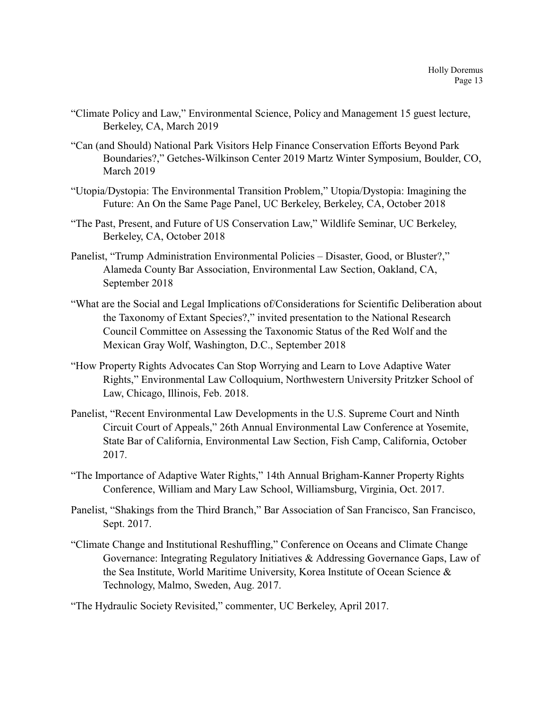- "Climate Policy and Law," Environmental Science, Policy and Management 15 guest lecture, Berkeley, CA, March 2019
- "Can (and Should) National Park Visitors Help Finance Conservation Efforts Beyond Park Boundaries?," Getches-Wilkinson Center 2019 Martz Winter Symposium, Boulder, CO, March 2019
- "Utopia/Dystopia: The Environmental Transition Problem," Utopia/Dystopia: Imagining the Future: An On the Same Page Panel, UC Berkeley, Berkeley, CA, October 2018
- "The Past, Present, and Future of US Conservation Law," Wildlife Seminar, UC Berkeley, Berkeley, CA, October 2018
- Panelist, "Trump Administration Environmental Policies Disaster, Good, or Bluster?," Alameda County Bar Association, Environmental Law Section, Oakland, CA, September 2018
- "What are the Social and Legal Implications of/Considerations for Scientific Deliberation about the Taxonomy of Extant Species?," invited presentation to the National Research Council Committee on Assessing the Taxonomic Status of the Red Wolf and the Mexican Gray Wolf, Washington, D.C., September 2018
- "How Property Rights Advocates Can Stop Worrying and Learn to Love Adaptive Water Rights," Environmental Law Colloquium, Northwestern University Pritzker School of Law, Chicago, Illinois, Feb. 2018.
- Panelist, "Recent Environmental Law Developments in the U.S. Supreme Court and Ninth Circuit Court of Appeals," 26th Annual Environmental Law Conference at Yosemite, State Bar of California, Environmental Law Section, Fish Camp, California, October 2017.
- "The Importance of Adaptive Water Rights," 14th Annual Brigham-Kanner Property Rights Conference, William and Mary Law School, Williamsburg, Virginia, Oct. 2017.
- Panelist, "Shakings from the Third Branch," Bar Association of San Francisco, San Francisco, Sept. 2017.
- "Climate Change and Institutional Reshuffling," Conference on Oceans and Climate Change Governance: Integrating Regulatory Initiatives & Addressing Governance Gaps, Law of the Sea Institute, World Maritime University, Korea Institute of Ocean Science & Technology, Malmo, Sweden, Aug. 2017.
- "The Hydraulic Society Revisited," commenter, UC Berkeley, April 2017.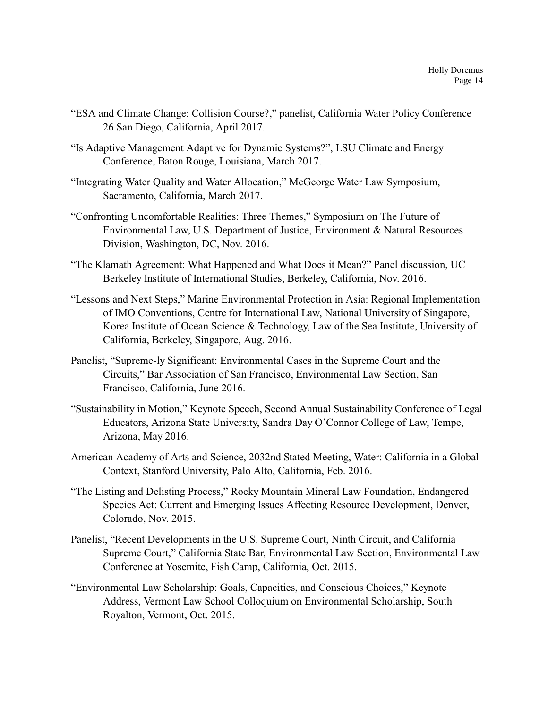- "ESA and Climate Change: Collision Course?," panelist, California Water Policy Conference 26 San Diego, California, April 2017.
- "Is Adaptive Management Adaptive for Dynamic Systems?", LSU Climate and Energy Conference, Baton Rouge, Louisiana, March 2017.
- "Integrating Water Quality and Water Allocation," McGeorge Water Law Symposium, Sacramento, California, March 2017.
- "Confronting Uncomfortable Realities: Three Themes," Symposium on The Future of Environmental Law, U.S. Department of Justice, Environment & Natural Resources Division, Washington, DC, Nov. 2016.
- "The Klamath Agreement: What Happened and What Does it Mean?" Panel discussion, UC Berkeley Institute of International Studies, Berkeley, California, Nov. 2016.
- "Lessons and Next Steps," Marine Environmental Protection in Asia: Regional Implementation of IMO Conventions, Centre for International Law, National University of Singapore, Korea Institute of Ocean Science & Technology, Law of the Sea Institute, University of California, Berkeley, Singapore, Aug. 2016.
- Panelist, "Supreme-ly Significant: Environmental Cases in the Supreme Court and the Circuits," Bar Association of San Francisco, Environmental Law Section, San Francisco, California, June 2016.
- "Sustainability in Motion," Keynote Speech, Second Annual Sustainability Conference of Legal Educators, Arizona State University, Sandra Day O'Connor College of Law, Tempe, Arizona, May 2016.
- American Academy of Arts and Science, 2032nd Stated Meeting, Water: California in a Global Context, Stanford University, Palo Alto, California, Feb. 2016.
- "The Listing and Delisting Process," Rocky Mountain Mineral Law Foundation, Endangered Species Act: Current and Emerging Issues Affecting Resource Development, Denver, Colorado, Nov. 2015.
- Panelist, "Recent Developments in the U.S. Supreme Court, Ninth Circuit, and California Supreme Court," California State Bar, Environmental Law Section, Environmental Law Conference at Yosemite, Fish Camp, California, Oct. 2015.
- "Environmental Law Scholarship: Goals, Capacities, and Conscious Choices," Keynote Address, Vermont Law School Colloquium on Environmental Scholarship, South Royalton, Vermont, Oct. 2015.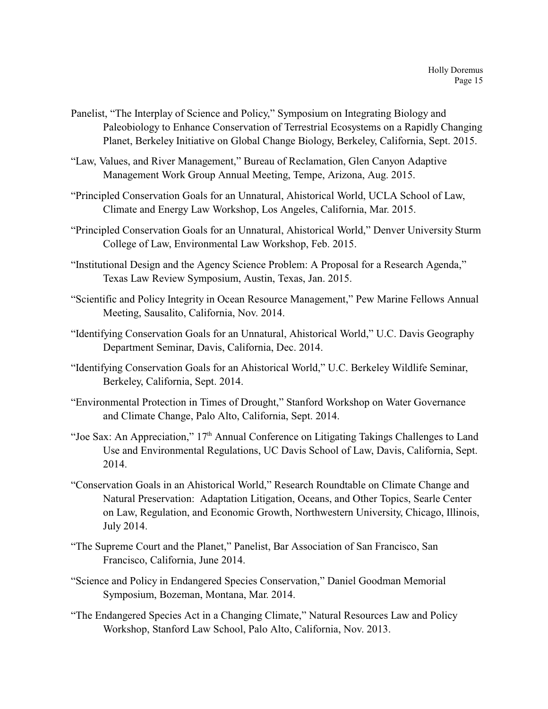- Panelist, "The Interplay of Science and Policy," Symposium on Integrating Biology and Paleobiology to Enhance Conservation of Terrestrial Ecosystems on a Rapidly Changing Planet, Berkeley Initiative on Global Change Biology, Berkeley, California, Sept. 2015.
- "Law, Values, and River Management," Bureau of Reclamation, Glen Canyon Adaptive Management Work Group Annual Meeting, Tempe, Arizona, Aug. 2015.
- "Principled Conservation Goals for an Unnatural, Ahistorical World, UCLA School of Law, Climate and Energy Law Workshop, Los Angeles, California, Mar. 2015.
- "Principled Conservation Goals for an Unnatural, Ahistorical World," Denver University Sturm College of Law, Environmental Law Workshop, Feb. 2015.
- "Institutional Design and the Agency Science Problem: A Proposal for a Research Agenda," Texas Law Review Symposium, Austin, Texas, Jan. 2015.
- "Scientific and Policy Integrity in Ocean Resource Management," Pew Marine Fellows Annual Meeting, Sausalito, California, Nov. 2014.
- "Identifying Conservation Goals for an Unnatural, Ahistorical World," U.C. Davis Geography Department Seminar, Davis, California, Dec. 2014.
- "Identifying Conservation Goals for an Ahistorical World," U.C. Berkeley Wildlife Seminar, Berkeley, California, Sept. 2014.
- "Environmental Protection in Times of Drought," Stanford Workshop on Water Governance and Climate Change, Palo Alto, California, Sept. 2014.
- "Joe Sax: An Appreciation," 17<sup>th</sup> Annual Conference on Litigating Takings Challenges to Land Use and Environmental Regulations, UC Davis School of Law, Davis, California, Sept. 2014.
- "Conservation Goals in an Ahistorical World," Research Roundtable on Climate Change and Natural Preservation: Adaptation Litigation, Oceans, and Other Topics, Searle Center on Law, Regulation, and Economic Growth, Northwestern University, Chicago, Illinois, July 2014.
- "The Supreme Court and the Planet," Panelist, Bar Association of San Francisco, San Francisco, California, June 2014.
- "Science and Policy in Endangered Species Conservation," Daniel Goodman Memorial Symposium, Bozeman, Montana, Mar. 2014.
- "The Endangered Species Act in a Changing Climate," Natural Resources Law and Policy Workshop, Stanford Law School, Palo Alto, California, Nov. 2013.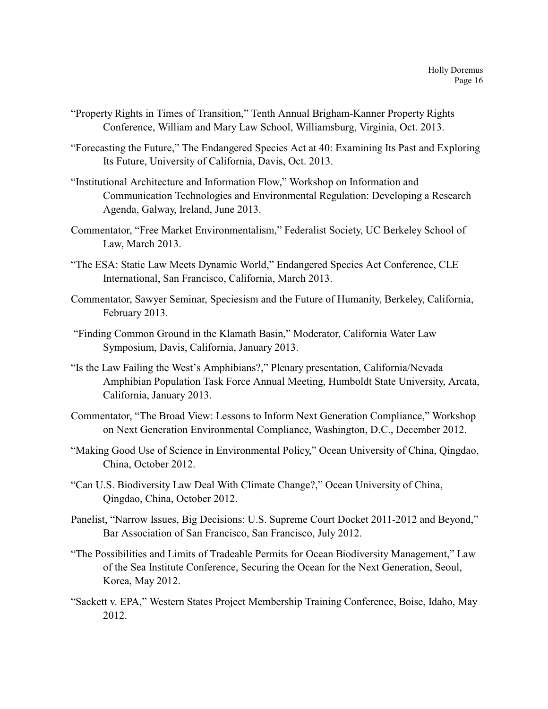- "Property Rights in Times of Transition," Tenth Annual Brigham-Kanner Property Rights Conference, William and Mary Law School, Williamsburg, Virginia, Oct. 2013.
- "Forecasting the Future," The Endangered Species Act at 40: Examining Its Past and Exploring Its Future, University of California, Davis, Oct. 2013.
- "Institutional Architecture and Information Flow," Workshop on Information and Communication Technologies and Environmental Regulation: Developing a Research Agenda, Galway, Ireland, June 2013.
- Commentator, "Free Market Environmentalism," Federalist Society, UC Berkeley School of Law, March 2013.
- "The ESA: Static Law Meets Dynamic World," Endangered Species Act Conference, CLE International, San Francisco, California, March 2013.
- Commentator, Sawyer Seminar, Speciesism and the Future of Humanity, Berkeley, California, February 2013.
- "Finding Common Ground in the Klamath Basin," Moderator, California Water Law Symposium, Davis, California, January 2013.
- "Is the Law Failing the West's Amphibians?," Plenary presentation, California/Nevada Amphibian Population Task Force Annual Meeting, Humboldt State University, Arcata, California, January 2013.
- Commentator, "The Broad View: Lessons to Inform Next Generation Compliance," Workshop on Next Generation Environmental Compliance, Washington, D.C., December 2012.
- "Making Good Use of Science in Environmental Policy," Ocean University of China, Qingdao, China, October 2012.
- "Can U.S. Biodiversity Law Deal With Climate Change?," Ocean University of China, Qingdao, China, October 2012.
- Panelist, "Narrow Issues, Big Decisions: U.S. Supreme Court Docket 2011-2012 and Beyond," Bar Association of San Francisco, San Francisco, July 2012.
- "The Possibilities and Limits of Tradeable Permits for Ocean Biodiversity Management," Law of the Sea Institute Conference, Securing the Ocean for the Next Generation, Seoul, Korea, May 2012.
- "Sackett v. EPA," Western States Project Membership Training Conference, Boise, Idaho, May 2012.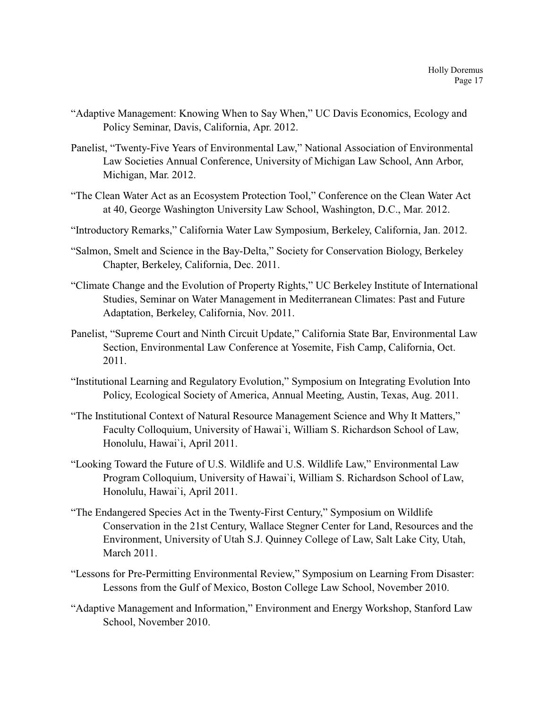- "Adaptive Management: Knowing When to Say When," UC Davis Economics, Ecology and Policy Seminar, Davis, California, Apr. 2012.
- Panelist, "Twenty-Five Years of Environmental Law," National Association of Environmental Law Societies Annual Conference, University of Michigan Law School, Ann Arbor, Michigan, Mar. 2012.
- "The Clean Water Act as an Ecosystem Protection Tool," Conference on the Clean Water Act at 40, George Washington University Law School, Washington, D.C., Mar. 2012.
- "Introductory Remarks," California Water Law Symposium, Berkeley, California, Jan. 2012.
- "Salmon, Smelt and Science in the Bay-Delta," Society for Conservation Biology, Berkeley Chapter, Berkeley, California, Dec. 2011.
- "Climate Change and the Evolution of Property Rights," UC Berkeley Institute of International Studies, Seminar on Water Management in Mediterranean Climates: Past and Future Adaptation, Berkeley, California, Nov. 2011.
- Panelist, "Supreme Court and Ninth Circuit Update," California State Bar, Environmental Law Section, Environmental Law Conference at Yosemite, Fish Camp, California, Oct. 2011.
- "Institutional Learning and Regulatory Evolution," Symposium on Integrating Evolution Into Policy, Ecological Society of America, Annual Meeting, Austin, Texas, Aug. 2011.
- "The Institutional Context of Natural Resource Management Science and Why It Matters," Faculty Colloquium, University of Hawai`i, William S. Richardson School of Law, Honolulu, Hawai`i, April 2011.
- "Looking Toward the Future of U.S. Wildlife and U.S. Wildlife Law," Environmental Law Program Colloquium, University of Hawai`i, William S. Richardson School of Law, Honolulu, Hawai`i, April 2011.
- "The Endangered Species Act in the Twenty-First Century," Symposium on Wildlife Conservation in the 21st Century, Wallace Stegner Center for Land, Resources and the Environment, University of Utah S.J. Quinney College of Law, Salt Lake City, Utah, March 2011.
- "Lessons for Pre-Permitting Environmental Review," Symposium on Learning From Disaster: Lessons from the Gulf of Mexico, Boston College Law School, November 2010.
- "Adaptive Management and Information," Environment and Energy Workshop, Stanford Law School, November 2010.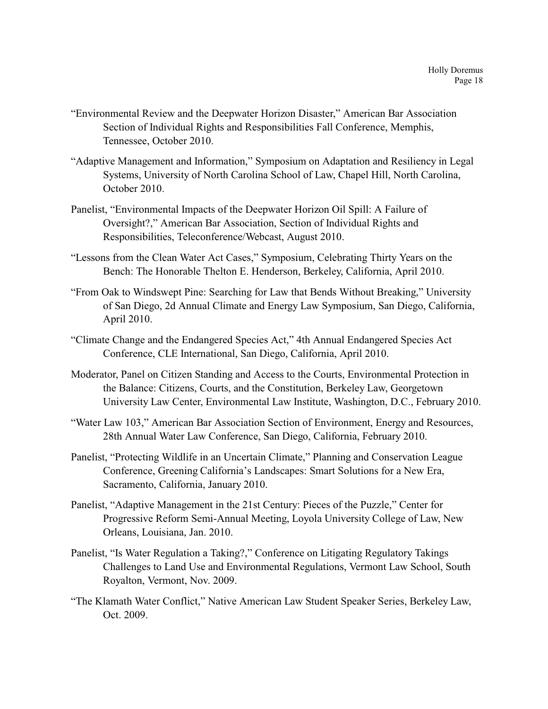- "Environmental Review and the Deepwater Horizon Disaster," American Bar Association Section of Individual Rights and Responsibilities Fall Conference, Memphis, Tennessee, October 2010.
- "Adaptive Management and Information," Symposium on Adaptation and Resiliency in Legal Systems, University of North Carolina School of Law, Chapel Hill, North Carolina, October 2010.
- Panelist, "Environmental Impacts of the Deepwater Horizon Oil Spill: A Failure of Oversight?," American Bar Association, Section of Individual Rights and Responsibilities, Teleconference/Webcast, August 2010.
- "Lessons from the Clean Water Act Cases," Symposium, Celebrating Thirty Years on the Bench: The Honorable Thelton E. Henderson, Berkeley, California, April 2010.
- "From Oak to Windswept Pine: Searching for Law that Bends Without Breaking," University of San Diego, 2d Annual Climate and Energy Law Symposium, San Diego, California, April 2010.
- "Climate Change and the Endangered Species Act," 4th Annual Endangered Species Act Conference, CLE International, San Diego, California, April 2010.
- Moderator, Panel on Citizen Standing and Access to the Courts, Environmental Protection in the Balance: Citizens, Courts, and the Constitution, Berkeley Law, Georgetown University Law Center, Environmental Law Institute, Washington, D.C., February 2010.
- "Water Law 103," American Bar Association Section of Environment, Energy and Resources, 28th Annual Water Law Conference, San Diego, California, February 2010.
- Panelist, "Protecting Wildlife in an Uncertain Climate," Planning and Conservation League Conference, Greening California's Landscapes: Smart Solutions for a New Era, Sacramento, California, January 2010.
- Panelist, "Adaptive Management in the 21st Century: Pieces of the Puzzle," Center for Progressive Reform Semi-Annual Meeting, Loyola University College of Law, New Orleans, Louisiana, Jan. 2010.
- Panelist, "Is Water Regulation a Taking?," Conference on Litigating Regulatory Takings Challenges to Land Use and Environmental Regulations, Vermont Law School, South Royalton, Vermont, Nov. 2009.
- "The Klamath Water Conflict," Native American Law Student Speaker Series, Berkeley Law, Oct. 2009.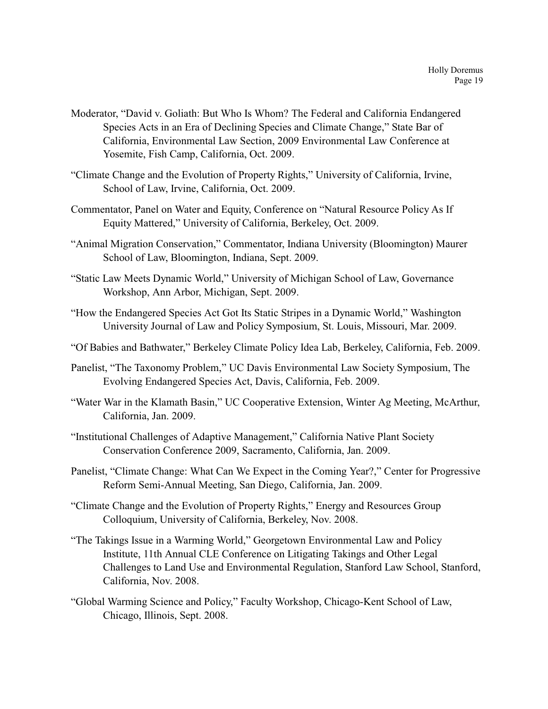- Moderator, "David v. Goliath: But Who Is Whom? The Federal and California Endangered Species Acts in an Era of Declining Species and Climate Change," State Bar of California, Environmental Law Section, 2009 Environmental Law Conference at Yosemite, Fish Camp, California, Oct. 2009.
- "Climate Change and the Evolution of Property Rights," University of California, Irvine, School of Law, Irvine, California, Oct. 2009.
- Commentator, Panel on Water and Equity, Conference on "Natural Resource Policy As If Equity Mattered," University of California, Berkeley, Oct. 2009.
- "Animal Migration Conservation," Commentator, Indiana University (Bloomington) Maurer School of Law, Bloomington, Indiana, Sept. 2009.
- "Static Law Meets Dynamic World," University of Michigan School of Law, Governance Workshop, Ann Arbor, Michigan, Sept. 2009.
- "How the Endangered Species Act Got Its Static Stripes in a Dynamic World," Washington University Journal of Law and Policy Symposium, St. Louis, Missouri, Mar. 2009.
- "Of Babies and Bathwater," Berkeley Climate Policy Idea Lab, Berkeley, California, Feb. 2009.
- Panelist, "The Taxonomy Problem," UC Davis Environmental Law Society Symposium, The Evolving Endangered Species Act, Davis, California, Feb. 2009.
- "Water War in the Klamath Basin," UC Cooperative Extension, Winter Ag Meeting, McArthur, California, Jan. 2009.
- "Institutional Challenges of Adaptive Management," California Native Plant Society Conservation Conference 2009, Sacramento, California, Jan. 2009.
- Panelist, "Climate Change: What Can We Expect in the Coming Year?," Center for Progressive Reform Semi-Annual Meeting, San Diego, California, Jan. 2009.
- "Climate Change and the Evolution of Property Rights," Energy and Resources Group Colloquium, University of California, Berkeley, Nov. 2008.
- "The Takings Issue in a Warming World," Georgetown Environmental Law and Policy Institute, 11th Annual CLE Conference on Litigating Takings and Other Legal Challenges to Land Use and Environmental Regulation, Stanford Law School, Stanford, California, Nov. 2008.
- "Global Warming Science and Policy," Faculty Workshop, Chicago-Kent School of Law, Chicago, Illinois, Sept. 2008.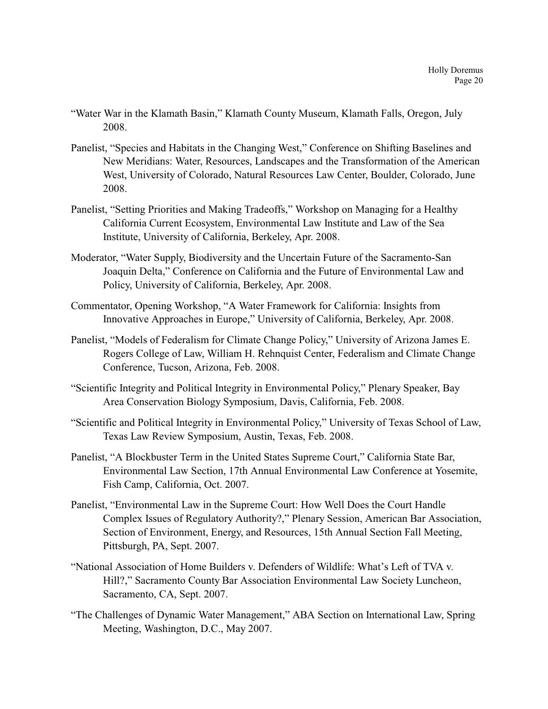- "Water War in the Klamath Basin," Klamath County Museum, Klamath Falls, Oregon, July 2008.
- Panelist, "Species and Habitats in the Changing West," Conference on Shifting Baselines and New Meridians: Water, Resources, Landscapes and the Transformation of the American West, University of Colorado, Natural Resources Law Center, Boulder, Colorado, June 2008.
- Panelist, "Setting Priorities and Making Tradeoffs," Workshop on Managing for a Healthy California Current Ecosystem, Environmental Law Institute and Law of the Sea Institute, University of California, Berkeley, Apr. 2008.
- Moderator, "Water Supply, Biodiversity and the Uncertain Future of the Sacramento-San Joaquin Delta," Conference on California and the Future of Environmental Law and Policy, University of California, Berkeley, Apr. 2008.
- Commentator, Opening Workshop, "A Water Framework for California: Insights from Innovative Approaches in Europe," University of California, Berkeley, Apr. 2008.
- Panelist, "Models of Federalism for Climate Change Policy," University of Arizona James E. Rogers College of Law, William H. Rehnquist Center, Federalism and Climate Change Conference, Tucson, Arizona, Feb. 2008.
- "Scientific Integrity and Political Integrity in Environmental Policy," Plenary Speaker, Bay Area Conservation Biology Symposium, Davis, California, Feb. 2008.
- "Scientific and Political Integrity in Environmental Policy," University of Texas School of Law, Texas Law Review Symposium, Austin, Texas, Feb. 2008.
- Panelist, "A Blockbuster Term in the United States Supreme Court," California State Bar, Environmental Law Section, 17th Annual Environmental Law Conference at Yosemite, Fish Camp, California, Oct. 2007.
- Panelist, "Environmental Law in the Supreme Court: How Well Does the Court Handle Complex Issues of Regulatory Authority?," Plenary Session, American Bar Association, Section of Environment, Energy, and Resources, 15th Annual Section Fall Meeting, Pittsburgh, PA, Sept. 2007.
- "National Association of Home Builders v. Defenders of Wildlife: What's Left of TVA v. Hill?," Sacramento County Bar Association Environmental Law Society Luncheon, Sacramento, CA, Sept. 2007.
- "The Challenges of Dynamic Water Management," ABA Section on International Law, Spring Meeting, Washington, D.C., May 2007.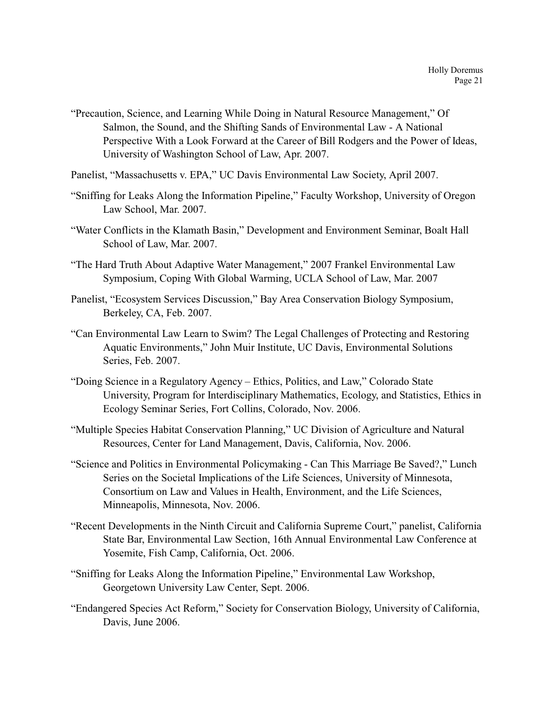- "Precaution, Science, and Learning While Doing in Natural Resource Management," Of Salmon, the Sound, and the Shifting Sands of Environmental Law - A National Perspective With a Look Forward at the Career of Bill Rodgers and the Power of Ideas, University of Washington School of Law, Apr. 2007.
- Panelist, "Massachusetts v. EPA," UC Davis Environmental Law Society, April 2007.
- "Sniffing for Leaks Along the Information Pipeline," Faculty Workshop, University of Oregon Law School, Mar. 2007.
- "Water Conflicts in the Klamath Basin," Development and Environment Seminar, Boalt Hall School of Law, Mar. 2007.
- "The Hard Truth About Adaptive Water Management," 2007 Frankel Environmental Law Symposium, Coping With Global Warming, UCLA School of Law, Mar. 2007
- Panelist, "Ecosystem Services Discussion," Bay Area Conservation Biology Symposium, Berkeley, CA, Feb. 2007.
- "Can Environmental Law Learn to Swim? The Legal Challenges of Protecting and Restoring Aquatic Environments," John Muir Institute, UC Davis, Environmental Solutions Series, Feb. 2007.
- "Doing Science in a Regulatory Agency Ethics, Politics, and Law," Colorado State University, Program for Interdisciplinary Mathematics, Ecology, and Statistics, Ethics in Ecology Seminar Series, Fort Collins, Colorado, Nov. 2006.
- "Multiple Species Habitat Conservation Planning," UC Division of Agriculture and Natural Resources, Center for Land Management, Davis, California, Nov. 2006.
- "Science and Politics in Environmental Policymaking Can This Marriage Be Saved?," Lunch Series on the Societal Implications of the Life Sciences, University of Minnesota, Consortium on Law and Values in Health, Environment, and the Life Sciences, Minneapolis, Minnesota, Nov. 2006.
- "Recent Developments in the Ninth Circuit and California Supreme Court," panelist, California State Bar, Environmental Law Section, 16th Annual Environmental Law Conference at Yosemite, Fish Camp, California, Oct. 2006.
- "Sniffing for Leaks Along the Information Pipeline," Environmental Law Workshop, Georgetown University Law Center, Sept. 2006.
- "Endangered Species Act Reform," Society for Conservation Biology, University of California, Davis, June 2006.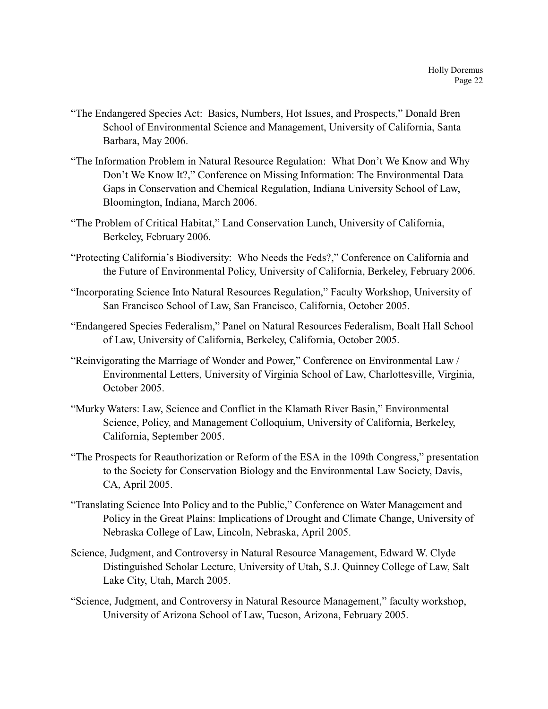- "The Endangered Species Act: Basics, Numbers, Hot Issues, and Prospects," Donald Bren School of Environmental Science and Management, University of California, Santa Barbara, May 2006.
- "The Information Problem in Natural Resource Regulation: What Don't We Know and Why Don't We Know It?," Conference on Missing Information: The Environmental Data Gaps in Conservation and Chemical Regulation, Indiana University School of Law, Bloomington, Indiana, March 2006.
- "The Problem of Critical Habitat," Land Conservation Lunch, University of California, Berkeley, February 2006.
- "Protecting California's Biodiversity: Who Needs the Feds?," Conference on California and the Future of Environmental Policy, University of California, Berkeley, February 2006.
- "Incorporating Science Into Natural Resources Regulation," Faculty Workshop, University of San Francisco School of Law, San Francisco, California, October 2005.
- "Endangered Species Federalism," Panel on Natural Resources Federalism, Boalt Hall School of Law, University of California, Berkeley, California, October 2005.
- "Reinvigorating the Marriage of Wonder and Power," Conference on Environmental Law / Environmental Letters, University of Virginia School of Law, Charlottesville, Virginia, October 2005.
- "Murky Waters: Law, Science and Conflict in the Klamath River Basin," Environmental Science, Policy, and Management Colloquium, University of California, Berkeley, California, September 2005.
- "The Prospects for Reauthorization or Reform of the ESA in the 109th Congress," presentation to the Society for Conservation Biology and the Environmental Law Society, Davis, CA, April 2005.
- "Translating Science Into Policy and to the Public," Conference on Water Management and Policy in the Great Plains: Implications of Drought and Climate Change, University of Nebraska College of Law, Lincoln, Nebraska, April 2005.
- Science, Judgment, and Controversy in Natural Resource Management, Edward W. Clyde Distinguished Scholar Lecture, University of Utah, S.J. Quinney College of Law, Salt Lake City, Utah, March 2005.
- "Science, Judgment, and Controversy in Natural Resource Management," faculty workshop, University of Arizona School of Law, Tucson, Arizona, February 2005.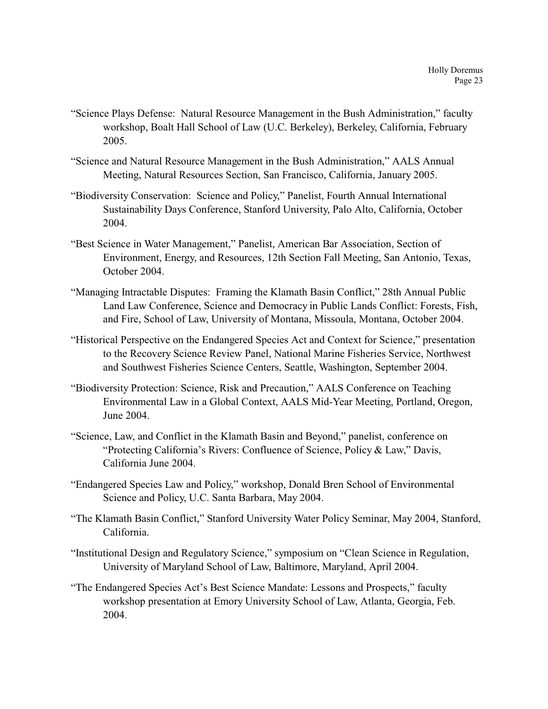- "Science Plays Defense: Natural Resource Management in the Bush Administration," faculty workshop, Boalt Hall School of Law (U.C. Berkeley), Berkeley, California, February 2005.
- "Science and Natural Resource Management in the Bush Administration," AALS Annual Meeting, Natural Resources Section, San Francisco, California, January 2005.
- "Biodiversity Conservation: Science and Policy," Panelist, Fourth Annual International Sustainability Days Conference, Stanford University, Palo Alto, California, October 2004.
- "Best Science in Water Management," Panelist, American Bar Association, Section of Environment, Energy, and Resources, 12th Section Fall Meeting, San Antonio, Texas, October 2004.
- "Managing Intractable Disputes: Framing the Klamath Basin Conflict," 28th Annual Public Land Law Conference, Science and Democracy in Public Lands Conflict: Forests, Fish, and Fire, School of Law, University of Montana, Missoula, Montana, October 2004.
- "Historical Perspective on the Endangered Species Act and Context for Science," presentation to the Recovery Science Review Panel, National Marine Fisheries Service, Northwest and Southwest Fisheries Science Centers, Seattle, Washington, September 2004.
- "Biodiversity Protection: Science, Risk and Precaution," AALS Conference on Teaching Environmental Law in a Global Context, AALS Mid-Year Meeting, Portland, Oregon, June 2004.
- "Science, Law, and Conflict in the Klamath Basin and Beyond," panelist, conference on "Protecting California's Rivers: Confluence of Science, Policy & Law," Davis, California June 2004.
- "Endangered Species Law and Policy," workshop, Donald Bren School of Environmental Science and Policy, U.C. Santa Barbara, May 2004.
- "The Klamath Basin Conflict," Stanford University Water Policy Seminar, May 2004, Stanford, California.
- "Institutional Design and Regulatory Science," symposium on "Clean Science in Regulation, University of Maryland School of Law, Baltimore, Maryland, April 2004.
- "The Endangered Species Act's Best Science Mandate: Lessons and Prospects," faculty workshop presentation at Emory University School of Law, Atlanta, Georgia, Feb. 2004.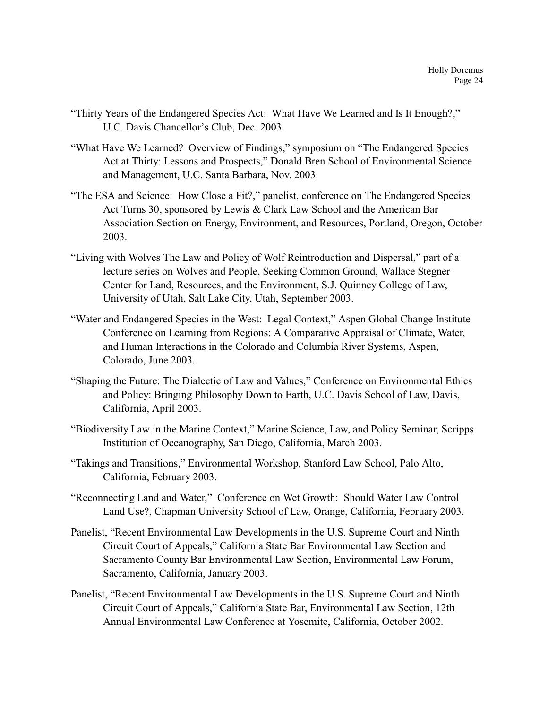- "Thirty Years of the Endangered Species Act: What Have We Learned and Is It Enough?," U.C. Davis Chancellor's Club, Dec. 2003.
- "What Have We Learned? Overview of Findings," symposium on "The Endangered Species Act at Thirty: Lessons and Prospects," Donald Bren School of Environmental Science and Management, U.C. Santa Barbara, Nov. 2003.
- "The ESA and Science: How Close a Fit?," panelist, conference on The Endangered Species Act Turns 30, sponsored by Lewis & Clark Law School and the American Bar Association Section on Energy, Environment, and Resources, Portland, Oregon, October 2003.
- "Living with Wolves The Law and Policy of Wolf Reintroduction and Dispersal," part of a lecture series on Wolves and People, Seeking Common Ground, Wallace Stegner Center for Land, Resources, and the Environment, S.J. Quinney College of Law, University of Utah, Salt Lake City, Utah, September 2003.
- "Water and Endangered Species in the West: Legal Context," Aspen Global Change Institute Conference on Learning from Regions: A Comparative Appraisal of Climate, Water, and Human Interactions in the Colorado and Columbia River Systems, Aspen, Colorado, June 2003.
- "Shaping the Future: The Dialectic of Law and Values," Conference on Environmental Ethics and Policy: Bringing Philosophy Down to Earth, U.C. Davis School of Law, Davis, California, April 2003.
- "Biodiversity Law in the Marine Context," Marine Science, Law, and Policy Seminar, Scripps Institution of Oceanography, San Diego, California, March 2003.
- "Takings and Transitions," Environmental Workshop, Stanford Law School, Palo Alto, California, February 2003.
- "Reconnecting Land and Water," Conference on Wet Growth: Should Water Law Control Land Use?, Chapman University School of Law, Orange, California, February 2003.
- Panelist, "Recent Environmental Law Developments in the U.S. Supreme Court and Ninth Circuit Court of Appeals," California State Bar Environmental Law Section and Sacramento County Bar Environmental Law Section, Environmental Law Forum, Sacramento, California, January 2003.
- Panelist, "Recent Environmental Law Developments in the U.S. Supreme Court and Ninth Circuit Court of Appeals," California State Bar, Environmental Law Section, 12th Annual Environmental Law Conference at Yosemite, California, October 2002.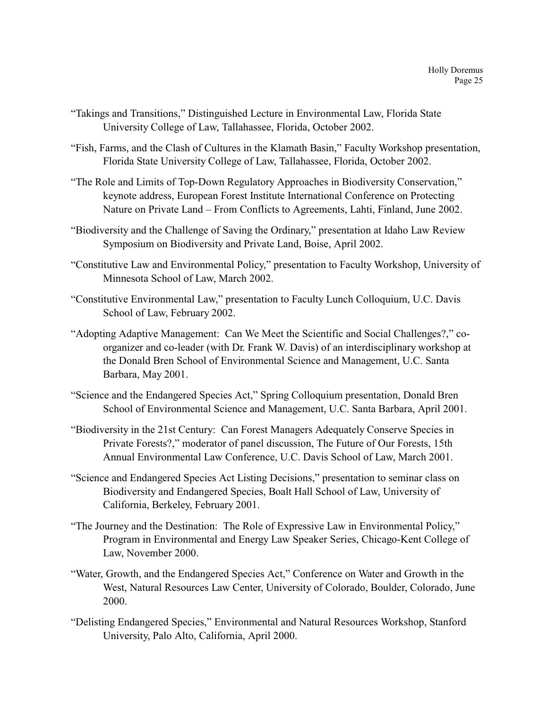- "Takings and Transitions," Distinguished Lecture in Environmental Law, Florida State University College of Law, Tallahassee, Florida, October 2002.
- "Fish, Farms, and the Clash of Cultures in the Klamath Basin," Faculty Workshop presentation, Florida State University College of Law, Tallahassee, Florida, October 2002.
- "The Role and Limits of Top-Down Regulatory Approaches in Biodiversity Conservation," keynote address, European Forest Institute International Conference on Protecting Nature on Private Land – From Conflicts to Agreements, Lahti, Finland, June 2002.
- "Biodiversity and the Challenge of Saving the Ordinary," presentation at Idaho Law Review Symposium on Biodiversity and Private Land, Boise, April 2002.
- "Constitutive Law and Environmental Policy," presentation to Faculty Workshop, University of Minnesota School of Law, March 2002.
- "Constitutive Environmental Law," presentation to Faculty Lunch Colloquium, U.C. Davis School of Law, February 2002.
- "Adopting Adaptive Management: Can We Meet the Scientific and Social Challenges?," coorganizer and co-leader (with Dr. Frank W. Davis) of an interdisciplinary workshop at the Donald Bren School of Environmental Science and Management, U.C. Santa Barbara, May 2001.
- "Science and the Endangered Species Act," Spring Colloquium presentation, Donald Bren School of Environmental Science and Management, U.C. Santa Barbara, April 2001.
- "Biodiversity in the 21st Century: Can Forest Managers Adequately Conserve Species in Private Forests?," moderator of panel discussion, The Future of Our Forests, 15th Annual Environmental Law Conference, U.C. Davis School of Law, March 2001.
- "Science and Endangered Species Act Listing Decisions," presentation to seminar class on Biodiversity and Endangered Species, Boalt Hall School of Law, University of California, Berkeley, February 2001.
- "The Journey and the Destination: The Role of Expressive Law in Environmental Policy," Program in Environmental and Energy Law Speaker Series, Chicago-Kent College of Law, November 2000.
- "Water, Growth, and the Endangered Species Act," Conference on Water and Growth in the West, Natural Resources Law Center, University of Colorado, Boulder, Colorado, June 2000.
- "Delisting Endangered Species," Environmental and Natural Resources Workshop, Stanford University, Palo Alto, California, April 2000.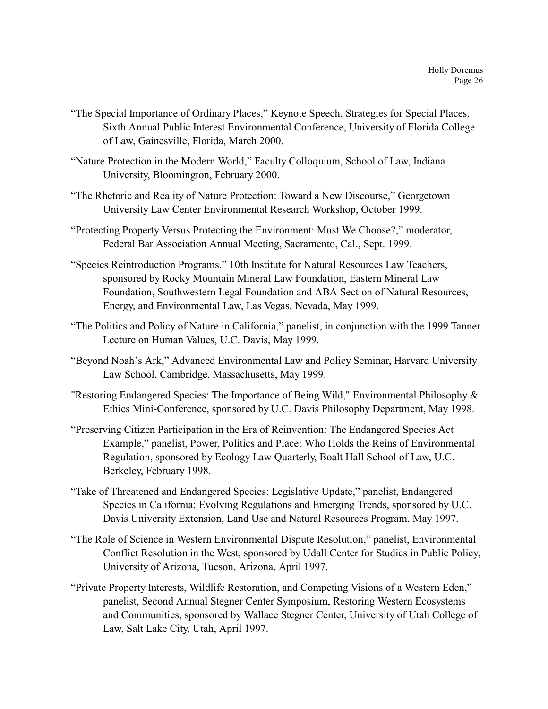- "The Special Importance of Ordinary Places," Keynote Speech, Strategies for Special Places, Sixth Annual Public Interest Environmental Conference, University of Florida College of Law, Gainesville, Florida, March 2000.
- "Nature Protection in the Modern World," Faculty Colloquium, School of Law, Indiana University, Bloomington, February 2000.
- "The Rhetoric and Reality of Nature Protection: Toward a New Discourse," Georgetown University Law Center Environmental Research Workshop, October 1999.
- "Protecting Property Versus Protecting the Environment: Must We Choose?," moderator, Federal Bar Association Annual Meeting, Sacramento, Cal., Sept. 1999.
- "Species Reintroduction Programs," 10th Institute for Natural Resources Law Teachers, sponsored by Rocky Mountain Mineral Law Foundation, Eastern Mineral Law Foundation, Southwestern Legal Foundation and ABA Section of Natural Resources, Energy, and Environmental Law, Las Vegas, Nevada, May 1999.
- "The Politics and Policy of Nature in California," panelist, in conjunction with the 1999 Tanner Lecture on Human Values, U.C. Davis, May 1999.
- "Beyond Noah's Ark," Advanced Environmental Law and Policy Seminar, Harvard University Law School, Cambridge, Massachusetts, May 1999.
- "Restoring Endangered Species: The Importance of Being Wild," Environmental Philosophy & Ethics Mini-Conference, sponsored by U.C. Davis Philosophy Department, May 1998.
- "Preserving Citizen Participation in the Era of Reinvention: The Endangered Species Act Example," panelist, Power, Politics and Place: Who Holds the Reins of Environmental Regulation, sponsored by Ecology Law Quarterly, Boalt Hall School of Law, U.C. Berkeley, February 1998.
- "Take of Threatened and Endangered Species: Legislative Update," panelist, Endangered Species in California: Evolving Regulations and Emerging Trends, sponsored by U.C. Davis University Extension, Land Use and Natural Resources Program, May 1997.
- "The Role of Science in Western Environmental Dispute Resolution," panelist, Environmental Conflict Resolution in the West, sponsored by Udall Center for Studies in Public Policy, University of Arizona, Tucson, Arizona, April 1997.
- "Private Property Interests, Wildlife Restoration, and Competing Visions of a Western Eden," panelist, Second Annual Stegner Center Symposium, Restoring Western Ecosystems and Communities, sponsored by Wallace Stegner Center, University of Utah College of Law, Salt Lake City, Utah, April 1997.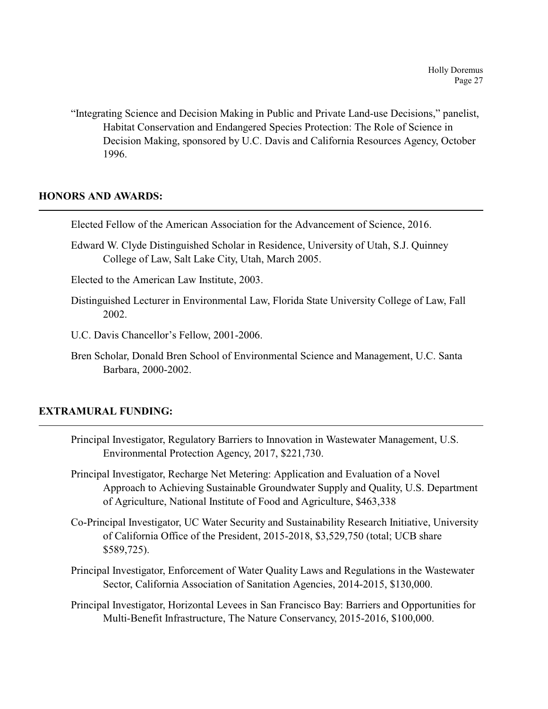"Integrating Science and Decision Making in Public and Private Land-use Decisions," panelist, Habitat Conservation and Endangered Species Protection: The Role of Science in Decision Making, sponsored by U.C. Davis and California Resources Agency, October 1996.

## **HONORS AND AWARDS:**

Elected Fellow of the American Association for the Advancement of Science, 2016.

Edward W. Clyde Distinguished Scholar in Residence, University of Utah, S.J. Quinney College of Law, Salt Lake City, Utah, March 2005.

Elected to the American Law Institute, 2003.

- Distinguished Lecturer in Environmental Law, Florida State University College of Law, Fall 2002.
- U.C. Davis Chancellor's Fellow, 2001-2006.
- Bren Scholar, Donald Bren School of Environmental Science and Management, U.C. Santa Barbara, 2000-2002.

# **EXTRAMURAL FUNDING:**

- Principal Investigator, Regulatory Barriers to Innovation in Wastewater Management, U.S. Environmental Protection Agency, 2017, \$221,730.
- Principal Investigator, Recharge Net Metering: Application and Evaluation of a Novel Approach to Achieving Sustainable Groundwater Supply and Quality, U.S. Department of Agriculture, National Institute of Food and Agriculture, \$463,338
- Co-Principal Investigator, UC Water Security and Sustainability Research Initiative, University of California Office of the President, 2015-2018, \$3,529,750 (total; UCB share \$589,725).
- Principal Investigator, Enforcement of Water Quality Laws and Regulations in the Wastewater Sector, California Association of Sanitation Agencies, 2014-2015, \$130,000.
- Principal Investigator, Horizontal Levees in San Francisco Bay: Barriers and Opportunities for Multi-Benefit Infrastructure, The Nature Conservancy, 2015-2016, \$100,000.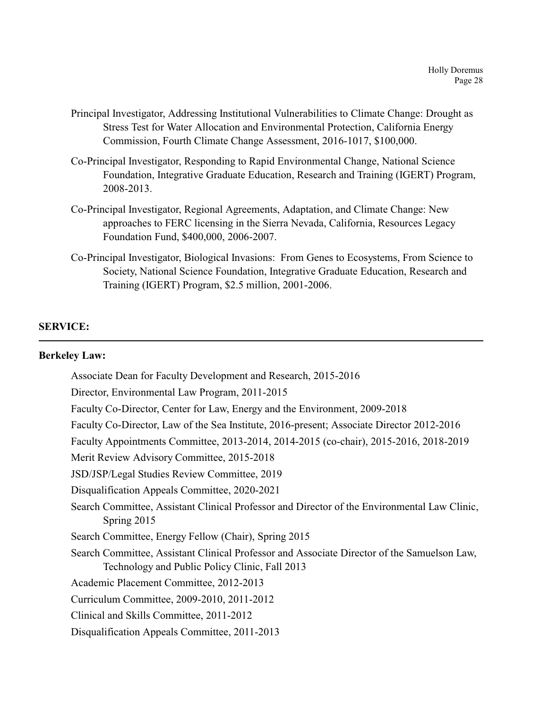- Principal Investigator, Addressing Institutional Vulnerabilities to Climate Change: Drought as Stress Test for Water Allocation and Environmental Protection, California Energy Commission, Fourth Climate Change Assessment, 2016-1017, \$100,000.
- Co-Principal Investigator, Responding to Rapid Environmental Change, National Science Foundation, Integrative Graduate Education, Research and Training (IGERT) Program, 2008-2013.
- Co-Principal Investigator, Regional Agreements, Adaptation, and Climate Change: New approaches to FERC licensing in the Sierra Nevada, California, Resources Legacy Foundation Fund, \$400,000, 2006-2007.
- Co-Principal Investigator, Biological Invasions: From Genes to Ecosystems, From Science to Society, National Science Foundation, Integrative Graduate Education, Research and Training (IGERT) Program, \$2.5 million, 2001-2006.

## **SERVICE:**

#### **Berkeley Law:**

Associate Dean for Faculty Development and Research, 2015-2016 Director, Environmental Law Program, 2011-2015 Faculty Co-Director, Center for Law, Energy and the Environment, 2009-2018 Faculty Co-Director, Law of the Sea Institute, 2016-present; Associate Director 2012-2016 Faculty Appointments Committee, 2013-2014, 2014-2015 (co-chair), 2015-2016, 2018-2019 Merit Review Advisory Committee, 2015-2018 JSD/JSP/Legal Studies Review Committee, 2019 Disqualification Appeals Committee, 2020-2021 Search Committee, Assistant Clinical Professor and Director of the Environmental Law Clinic, Spring 2015 Search Committee, Energy Fellow (Chair), Spring 2015 Search Committee, Assistant Clinical Professor and Associate Director of the Samuelson Law, Technology and Public Policy Clinic, Fall 2013 Academic Placement Committee, 2012-2013 Curriculum Committee, 2009-2010, 2011-2012 Clinical and Skills Committee, 2011-2012 Disqualification Appeals Committee, 2011-2013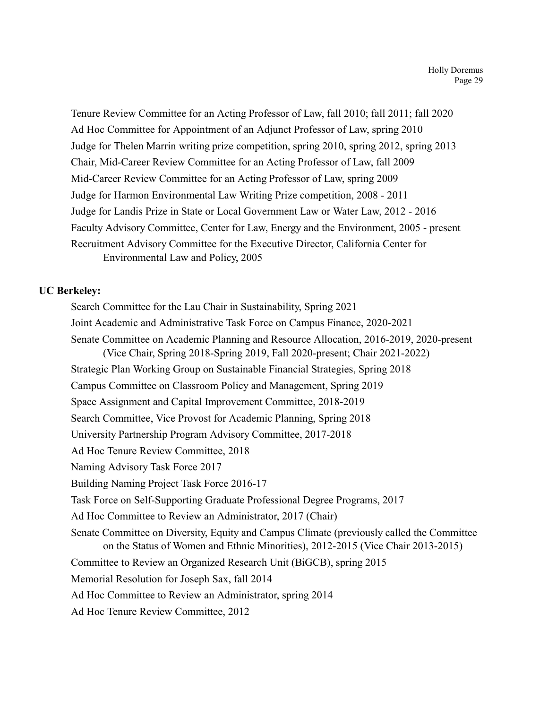Tenure Review Committee for an Acting Professor of Law, fall 2010; fall 2011; fall 2020 Ad Hoc Committee for Appointment of an Adjunct Professor of Law, spring 2010 Judge for Thelen Marrin writing prize competition, spring 2010, spring 2012, spring 2013 Chair, Mid-Career Review Committee for an Acting Professor of Law, fall 2009 Mid-Career Review Committee for an Acting Professor of Law, spring 2009 Judge for Harmon Environmental Law Writing Prize competition, 2008 - 2011 Judge for Landis Prize in State or Local Government Law or Water Law, 2012 - 2016 Faculty Advisory Committee, Center for Law, Energy and the Environment, 2005 - present Recruitment Advisory Committee for the Executive Director, California Center for Environmental Law and Policy, 2005

# **UC Berkeley:**

Search Committee for the Lau Chair in Sustainability, Spring 2021 Joint Academic and Administrative Task Force on Campus Finance, 2020-2021 Senate Committee on Academic Planning and Resource Allocation, 2016-2019, 2020-present (Vice Chair, Spring 2018-Spring 2019, Fall 2020-present; Chair 2021-2022) Strategic Plan Working Group on Sustainable Financial Strategies, Spring 2018 Campus Committee on Classroom Policy and Management, Spring 2019 Space Assignment and Capital Improvement Committee, 2018-2019 Search Committee, Vice Provost for Academic Planning, Spring 2018 University Partnership Program Advisory Committee, 2017-2018 Ad Hoc Tenure Review Committee, 2018 Naming Advisory Task Force 2017 Building Naming Project Task Force 2016-17 Task Force on Self-Supporting Graduate Professional Degree Programs, 2017 Ad Hoc Committee to Review an Administrator, 2017 (Chair) Senate Committee on Diversity, Equity and Campus Climate (previously called the Committee on the Status of Women and Ethnic Minorities), 2012-2015 (Vice Chair 2013-2015) Committee to Review an Organized Research Unit (BiGCB), spring 2015 Memorial Resolution for Joseph Sax, fall 2014 Ad Hoc Committee to Review an Administrator, spring 2014 Ad Hoc Tenure Review Committee, 2012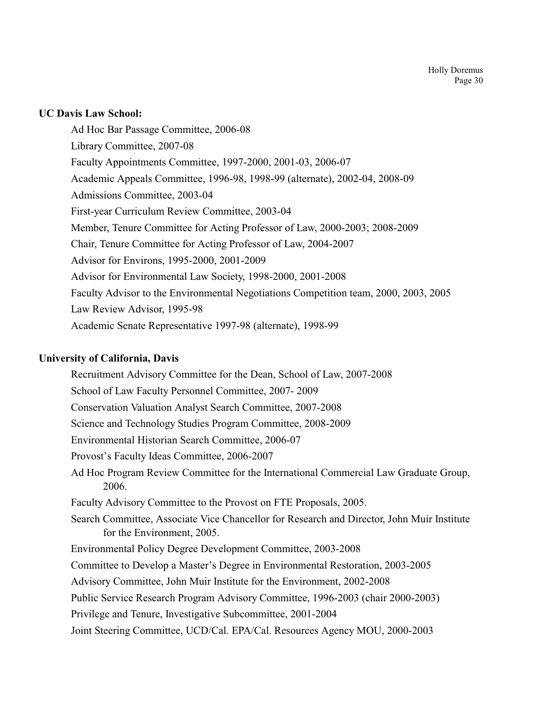## **UC Davis Law School:**

Ad Hoc Bar Passage Committee, 2006-08 Library Committee, 2007-08 Faculty Appointments Committee, 1997-2000, 2001-03, 2006-07 Academic Appeals Committee, 1996-98, 1998-99 (alternate), 2002-04, 2008-09 Admissions Committee, 2003-04 First-year Curriculum Review Committee, 2003-04 Member, Tenure Committee for Acting Professor of Law, 2000-2003; 2008-2009 Chair, Tenure Committee for Acting Professor of Law, 2004-2007 Advisor for Environs, 1995-2000, 2001-2009 Advisor for Environmental Law Society, 1998-2000, 2001-2008 Faculty Advisor to the Environmental Negotiations Competition team, 2000, 2003, 2005 Law Review Advisor, 1995-98 Academic Senate Representative 1997-98 (alternate), 1998-99

## **University of California, Davis**

Recruitment Advisory Committee for the Dean, School of Law, 2007-2008 School of Law Faculty Personnel Committee, 2007- 2009 Conservation Valuation Analyst Search Committee, 2007-2008 Science and Technology Studies Program Committee, 2008-2009 Environmental Historian Search Committee, 2006-07 Provost's Faculty Ideas Committee, 2006-2007 Ad Hoc Program Review Committee for the International Commercial Law Graduate Group, 2006. Faculty Advisory Committee to the Provost on FTE Proposals, 2005. Search Committee, Associate Vice Chancellor for Research and Director, John Muir Institute for the Environment, 2005. Environmental Policy Degree Development Committee, 2003-2008 Committee to Develop a Master's Degree in Environmental Restoration, 2003-2005 Advisory Committee, John Muir Institute for the Environment, 2002-2008 Public Service Research Program Advisory Committee, 1996-2003 (chair 2000-2003) Privilege and Tenure, Investigative Subcommittee, 2001-2004 Joint Steering Committee, UCD/Cal. EPA/Cal. Resources Agency MOU, 2000-2003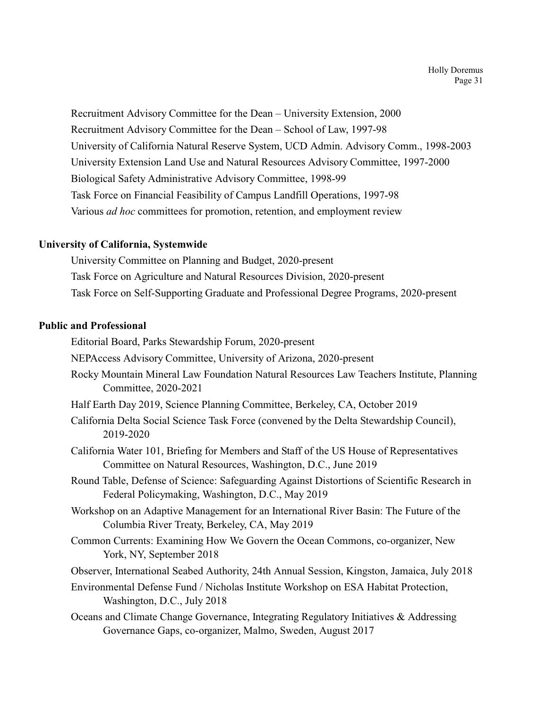Recruitment Advisory Committee for the Dean – University Extension, 2000 Recruitment Advisory Committee for the Dean – School of Law, 1997-98 University of California Natural Reserve System, UCD Admin. Advisory Comm., 1998-2003 University Extension Land Use and Natural Resources Advisory Committee, 1997-2000 Biological Safety Administrative Advisory Committee, 1998-99 Task Force on Financial Feasibility of Campus Landfill Operations, 1997-98 Various *ad hoc* committees for promotion, retention, and employment review

## **University of California, Systemwide**

University Committee on Planning and Budget, 2020-present Task Force on Agriculture and Natural Resources Division, 2020-present Task Force on Self-Supporting Graduate and Professional Degree Programs, 2020-present

## **Public and Professional**

Editorial Board, Parks Stewardship Forum, 2020-present

NEPAccess Advisory Committee, University of Arizona, 2020-present

- Rocky Mountain Mineral Law Foundation Natural Resources Law Teachers Institute, Planning Committee, 2020-2021
- Half Earth Day 2019, Science Planning Committee, Berkeley, CA, October 2019
- California Delta Social Science Task Force (convened by the Delta Stewardship Council), 2019-2020
- California Water 101, Briefing for Members and Staff of the US House of Representatives Committee on Natural Resources, Washington, D.C., June 2019
- Round Table, Defense of Science: Safeguarding Against Distortions of Scientific Research in Federal Policymaking, Washington, D.C., May 2019
- Workshop on an Adaptive Management for an International River Basin: The Future of the Columbia River Treaty, Berkeley, CA, May 2019
- Common Currents: Examining How We Govern the Ocean Commons, co-organizer, New York, NY, September 2018

Observer, International Seabed Authority, 24th Annual Session, Kingston, Jamaica, July 2018

- Environmental Defense Fund / Nicholas Institute Workshop on ESA Habitat Protection, Washington, D.C., July 2018
- Oceans and Climate Change Governance, Integrating Regulatory Initiatives & Addressing Governance Gaps, co-organizer, Malmo, Sweden, August 2017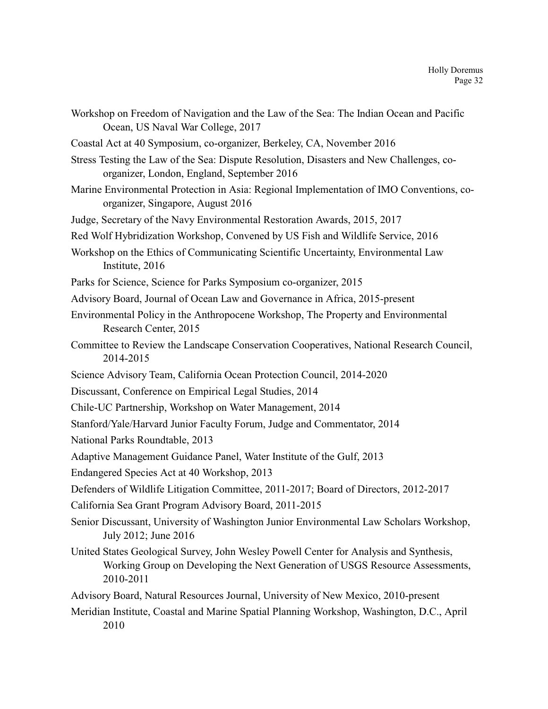- Workshop on Freedom of Navigation and the Law of the Sea: The Indian Ocean and Pacific Ocean, US Naval War College, 2017
- Coastal Act at 40 Symposium, co-organizer, Berkeley, CA, November 2016
- Stress Testing the Law of the Sea: Dispute Resolution, Disasters and New Challenges, coorganizer, London, England, September 2016
- Marine Environmental Protection in Asia: Regional Implementation of IMO Conventions, coorganizer, Singapore, August 2016
- Judge, Secretary of the Navy Environmental Restoration Awards, 2015, 2017
- Red Wolf Hybridization Workshop, Convened by US Fish and Wildlife Service, 2016
- Workshop on the Ethics of Communicating Scientific Uncertainty, Environmental Law Institute, 2016
- Parks for Science, Science for Parks Symposium co-organizer, 2015
- Advisory Board, Journal of Ocean Law and Governance in Africa, 2015-present
- Environmental Policy in the Anthropocene Workshop, The Property and Environmental Research Center, 2015
- Committee to Review the Landscape Conservation Cooperatives, National Research Council, 2014-2015
- Science Advisory Team, California Ocean Protection Council, 2014-2020
- Discussant, Conference on Empirical Legal Studies, 2014
- Chile-UC Partnership, Workshop on Water Management, 2014
- Stanford/Yale/Harvard Junior Faculty Forum, Judge and Commentator, 2014
- National Parks Roundtable, 2013
- Adaptive Management Guidance Panel, Water Institute of the Gulf, 2013
- Endangered Species Act at 40 Workshop, 2013
- Defenders of Wildlife Litigation Committee, 2011-2017; Board of Directors, 2012-2017
- California Sea Grant Program Advisory Board, 2011-2015
- Senior Discussant, University of Washington Junior Environmental Law Scholars Workshop, July 2012; June 2016
- United States Geological Survey, John Wesley Powell Center for Analysis and Synthesis, Working Group on Developing the Next Generation of USGS Resource Assessments, 2010-2011
- Advisory Board, Natural Resources Journal, University of New Mexico, 2010-present
- Meridian Institute, Coastal and Marine Spatial Planning Workshop, Washington, D.C., April 2010